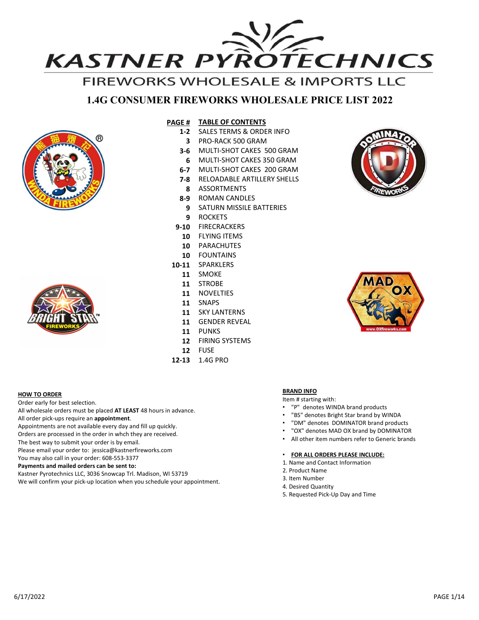

# 1.4G CONSUMER FIREWORKS WHOLESALE PRICE LIST 2022





**HOW TO ORDER** 

Order early for best selection.

The best way to submit your order is by email.

You may also call in your order: 608-553-3377 Payments and mailed orders can be sent to:

All wholesale orders must be placed AT LEAST 48 hours in advance. All order pick-ups require an **appointment**.<br>Appointments are not available every day and fill up quickly. Orders are processed in the order in whch they are received.

Kastner Pyrotechnics LLC, 3036 Snowcap Trl. Madison, WI 53719

We will confirm your pick-up location when you schedule your appointment.

# PAGE # TABLE OF CONTENTS

- 1-2 SALES TERMS & ORDER INFO
	-
- 3-6 MULTI-SHOT CAKES 500 GRAM
- 6 MULTI-SHOT CAKES 350 GRAM **A MARKET AND A MARKET OF A MARKET OF A MARKET OF A MARKET OF A MARKET OF A MARKET OF A MARKET OF A MARKET OF A MARKET OF A MARKET OF A MARKET OF A MARKET OF A MARKET OF A MARKET OF A MARKET OF**
- 6-7 MULTI-SHOT CAKES 200 GRAM
- **7-8 RELOADABLE ARTILLERY SHELLS**
- 8 ASSORTMENTS
- 8-9 ROMAN CANDLES
- 9 SATURN MISSILE BATTERIES
- 9 ROCKETS
- 9-10 FIRECRACKERS
- 10 FLYING ITEMS
- 10 PARACHUTES
- 10 FOUNTAINS
- 10-11 SPARKLERS
	- 11 SMOKE
	- 11 STROBE
	- 11 NOVELTIES
	- 11 SNAPS
	- 11 SKY LANTERNS
	- 11 GENDER REVEAL
	- 11 PUNKS
	- 12 FIRING SYSTEMS
	- 12 FUSE
- 12-13 1.4G PRO





# BRAND INFO

# Item # starting with:

- "P" denotes WINDA brand products
- 
- "BS" denotes Bright Star brand by WINDA<br>• "DM" denotes DOMINATOR brand products
- 
- All other item numbers refer to Generic brands
- Please email your order to: jessica@kastnerfireworks.com • FOR ALL ORDERS PLEASE INCLUDE:
	-
	- 2. Product Name
	- 3. Item Number
	- 4. Desired Quantity
	- 5. Requested Pick-Up Day and Time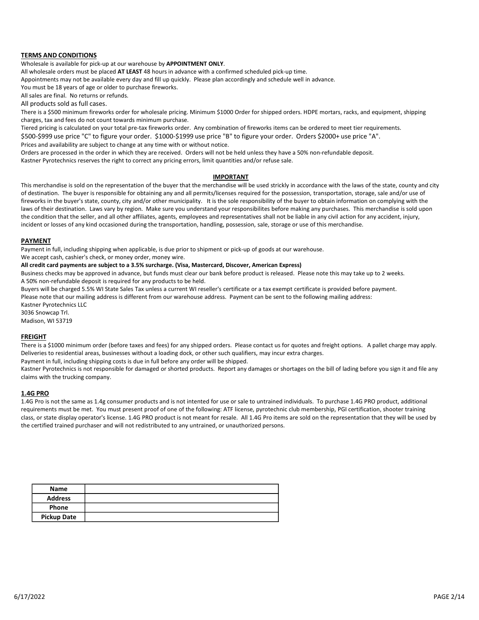# TERMS AND CONDITIONS

Wholesale is available for pick-up at our warehouse by APPOINTMENT ONLY.

All wholesale orders must be placed AT LEAST 48 hours in advance with a confirmed scheduled pick-up time.

Appointments may not be available every day and fill up quickly. Please plan accordingly and schedule well in advance.

You must be 18 years of age or older to purchase fireworks.

All sales are final. No returns or refunds.

charges, tax and fees do not count towards minimum purchase.

**TERMS AND CONDITIONS**<br>
Wholesale is available for pick-up at our warehouse by **APPOINTMENT ONLY**.<br>
All wholesale orders must be placed **AT LEAST** 48 hours in advance with a confirmed scheduled pick-<br>
Appointments may not **TERMS AND CONDITIONS**<br>All wholesale eigres must be placed **AT LEAT** 48 hours in advance with a confirmed scheduled pick-up time.<br>All pointments may not be available every day and fill up quickly. Please plan accordingly a **TERMS AND CONDITIONS**<br>Wholesale is available for prick-up at our warehouse by APPOINTMENT ONLY.<br>All prioritieres may not be available every day and fill up quickly. Please plan accordingly and schedule well in advance.<br>Yo **TERMS AND CONDITIONS**<br>Wholdesale sorable for prick-up at our warehouse by APDONTMENT ONLY.<br>All wholdesale orders may not be woullable every day and fill up quickly. Please plan accordingly and schedule well in advance.<br>Ap Prices and availability are subject to change at any time with or without notice.

### IMPORTANT

**TERMS AND CONDITIONS**<br>Wholesale is available for pick-up at our warehouse by APPOINTMENT ONLY.<br>All solections consists the procedure of TLART 48 hours in advance with a confirmed scheduled pick-up time.<br>Appointments may n **TERMS AND CONDITIONS**<br>All whiledeals enders must be placed a**t LEAST** 48 hours in advance with a confirmed scheduled pick-up time.<br>Appointments may not be available every day and fill up quickly. Please plan accordingly a **TERMS AND CONDITIONS**<br>Wholesale is available for pick-up at our warehouse by APPOINTMENT ONLY.<br>Alapontments may not be available every day and it lux quickly. Please plan accordingly and schedule well in abvance.<br>Appointm of destination. The buyer is responsible for obtaining any and all permits/licenses required for the possession, transportation, storage, sale and/or use of fireworks in the buyer's state, county, city and/or other municipality. It is the sole responsibility of the buyer to obtain information on complying with the **TERMS AND CONDITIONS**<br>Wholehable orders must be placked AT LEAT F& Riouris nadvane with a confirmed scheduled pick-up time.<br>All alles are films, the placked AT LEAT F& Riouris nadvance with a confirmed scheduled pick-up t the condition that the seller, and all other affiliates, agents, employees and representatives shall not be liable in any civil action for any accident, injury, incident or losses of any kind occasioned during the transportation, handling, possession, sale, storage or use of this merchandise. Approximent in whis the wallele every day and fillup quickly. Please plan accordingly and schedule well in advance.<br>All products may have term in a returnal or relations of the whole and the products of the significations All products sold as full cases.<br>All products sold as full cases:<br>There is a S500 minimum freworks order for wholesale pricing. Minimum S1000 Order for shipped crotes. HDVE montars, racks, and equipment, shipping<br>charges, Orders are processed in the order in which they are received. Orders will not be hided unkes they have a 50% non-erlunded deposit.<br>This merchandise is cold on the regeneration of the buyer that the merchandise will be used This merchandise is sold on the representation of the buyer that the merchandise will be used strickly in accordance with the forest<br>infreworks in the buyer's responsible for obtaining any and all permits/licenses required fireworks in the buyer's state, county, city and/or other municipality. It is the sole responsibility of the desirable above of their destination. Laws any the region, that essue to understand your responsibility of the de

### PAYMENT

Payment in full, including shipping when applicable, is due prior to shipment or pick-up of goods at our warehouse.

We accept cash, cashier's check, or money order, money wire.

### All credit card payments are subject to a 3.5% surcharge. (Visa, Mastercard, Discover, American Express)

A 50% non-refundable deposit is required for any products to be held.

Buyers will be charged 5.5% WI State Sales Tax unless a current WI reseller's certificate or a tax exempt certificate is provided before payment.

Kastner Pyrotechnics LLC

3036 Snowcap Trl.

Madison, WI 53719

## FREIGHT

Deliveries to residential areas, businesses without a loading dock, or other such qualifiers, may incur extra charges.

Kastner Pyrotechnics is not responsible for damaged or shorted products. Report any damages or shortages on the bill of lading before you sign it and file any claims with the trucking company.

is the other less time in. Lawy way by region. Make sure you understand your responsibilities before making any parameters. This mechanolise is sold upon<br>the consumer to four section of the same as the same as the products requirements must be met. You must present proof of one of the following: ATF license, pyrotechnic club membership, PGI certification, shooter training class, or state display operator's license. 1.4G PRO product is not meant for resale. All 1.4G Pro items are sold on the representation that they will be used by the certified trained purchaser and will not redistributed to any untrained, or unauthorized persons.

| <b>Name</b>        |  |
|--------------------|--|
| <b>Address</b>     |  |
| Phone              |  |
| <b>Pickup Date</b> |  |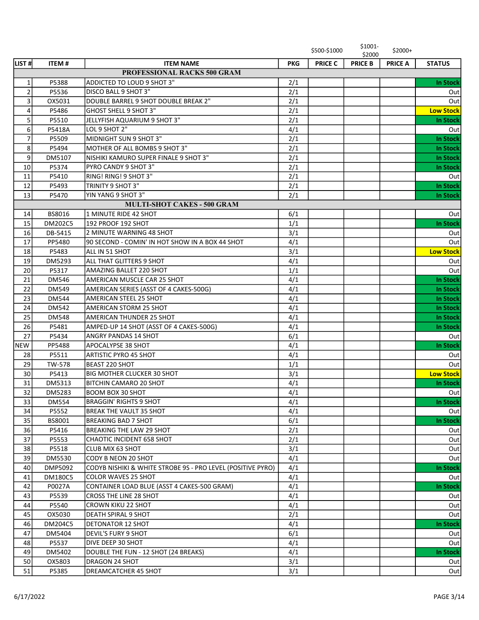|                |                |                                                             |            | \$500-\$1000   | \$1001-<br>\$2000 | $$2000+$       |                  |
|----------------|----------------|-------------------------------------------------------------|------------|----------------|-------------------|----------------|------------------|
| LIST#          | <b>ITEM#</b>   | <b>ITEM NAME</b>                                            | <b>PKG</b> | <b>PRICE C</b> | <b>PRICE B</b>    | <b>PRICE A</b> | <b>STATUS</b>    |
|                |                | <b>PROFESSIONAL RACKS 500 GRAM</b>                          |            |                |                   |                |                  |
| $1\vert$       | P5388          | ADDICTED TO LOUD 9 SHOT 3"                                  | 2/1        |                |                   |                | In Stock         |
| $\overline{2}$ | P5536          | DISCO BALL 9 SHOT 3"                                        | 2/1        |                |                   |                | Out              |
| $\overline{3}$ | OX5031         | DOUBLE BARREL 9 SHOT DOUBLE BREAK 2"                        | 2/1        |                |                   |                | Out              |
| 4              | P5486          | GHOST SHELL 9 SHOT 3"                                       | 2/1        |                |                   |                | <b>Low Stock</b> |
| 5 <sup>1</sup> | P5510          | JELLYFISH AQUARIUM 9 SHOT 3"                                | 2/1        |                |                   |                | In Stock         |
| $6 \mid$       | P5418A         | LOL 9 SHOT 2"                                               | 4/1        |                |                   |                | Out              |
| $\overline{7}$ | P5509          | MIDNIGHT SUN 9 SHOT 3"                                      | 2/1        |                |                   |                | In Stock         |
| 8 <sup>1</sup> | P5494          | MOTHER OF ALL BOMBS 9 SHOT 3"                               | 2/1        |                |                   |                | In Stock         |
| $\overline{9}$ | DM5107         | NISHIKI KAMURO SUPER FINALE 9 SHOT 3"                       | 2/1        |                |                   |                | In Stock         |
| 10             | P5374          | PYRO CANDY 9 SHOT 3"                                        | 2/1        |                |                   |                | In Stock         |
| 11             | P5410          | RING! RING! 9 SHOT 3"                                       | 2/1        |                |                   |                | Out              |
| 12             | P5493          | TRINITY 9 SHOT 3"                                           | 2/1        |                |                   |                | In Stock         |
| 13             | P5470          | YIN YANG 9 SHOT 3"                                          | 2/1        |                |                   |                | In Stock         |
|                |                | <b>MULTI-SHOT CAKES - 500 GRAM</b>                          |            |                |                   |                |                  |
| 14             | BS8016         | 1 MINUTE RIDE 42 SHOT                                       | 6/1        |                |                   |                | Out              |
| 15             | DM202C5        | 192 PROOF 192 SHOT                                          | 1/1        |                |                   |                | In Stock         |
| 16             | DB-5415        | 2 MINUTE WARNING 48 SHOT                                    | 3/1        |                |                   |                | Out              |
| 17             | PP5480         | 90 SECOND - COMIN' IN HOT SHOW IN A BOX 44 SHOT             | 4/1        |                |                   |                | Out              |
| 18             | P5483          | ALL IN 51 SHOT                                              | 3/1        |                |                   |                | <b>Low Stock</b> |
| 19             | DM5293         | lall that Glitters 9 Shot                                   | 4/1        |                |                   |                | Out              |
| 20             | P5317          | <b>AMAZING BALLET 220 SHOT</b>                              | 1/1        |                |                   |                | Out              |
| 21             | <b>DM546</b>   | AMERICAN MUSCLE CAR 25 SHOT                                 | 4/1        |                |                   |                | <b>In Stock</b>  |
| 22             | <b>DM549</b>   | AMERICAN SERIES (ASST OF 4 CAKES-500G)                      | 4/1        |                |                   |                | In Stock         |
| 23             | <b>DM544</b>   | <b>AMERICAN STEEL 25 SHOT</b>                               | 4/1        |                |                   |                | In Stock         |
| 24             | <b>DM542</b>   | <b>AMERICAN STORM 25 SHOT</b>                               | 4/1        |                |                   |                | In Stock         |
| 25             | <b>DM548</b>   | <b>AMERICAN THUNDER 25 SHOT</b>                             | 4/1        |                |                   |                | In Stock         |
| 26             | P5481          | AMPED-UP 14 SHOT (ASST OF 4 CAKES-500G)                     | 4/1        |                |                   |                | In Stock         |
| 27             | P5434          | <b>ANGRY PANDAS 14 SHOT</b>                                 | 6/1        |                |                   |                | Out              |
| <b>NEW</b>     | PP5488         | <b>APOCALYPSE 38 SHOT</b>                                   | 4/1        |                |                   |                | In Stock         |
| 28             | P5511          | <b>ARTISTIC PYRO 45 SHOT</b>                                | 4/1        |                |                   |                | Out              |
| 29             | TW-578         | BEAST 220 SHOT                                              | 1/1        |                |                   |                | Out              |
| 30             | P5413          | <b>BIG MOTHER CLUCKER 30 SHOT</b>                           | 3/1        |                |                   |                | <b>Low Stock</b> |
| 31             | DM5313         | <b>BITCHIN CAMARO 20 SHOT</b>                               | 4/1        |                |                   |                | In Stock         |
| 32             | DM5283         | BOOM BOX 30 SHOT                                            | 4/1        |                |                   |                | Out              |
| 33             | <b>DM554</b>   | <b>BRAGGIN' RIGHTS 9 SHOT</b>                               | 4/1        |                |                   |                | In Stock         |
| 34             | P5552          | <b>BREAK THE VAULT 35 SHOT</b>                              | 4/1        |                |                   |                | Out              |
| 35             | BS8001         | <b>BREAKING BAD 7 SHOT</b>                                  | 6/1        |                |                   |                | In Stock         |
| 36             | P5416          | <b>BREAKING THE LAW 29 SHOT</b>                             | 2/1        |                |                   |                | Out              |
| 37             | P5553          | CHAOTIC INCIDENT 658 SHOT                                   | 2/1        |                |                   |                | Out              |
| 38             | P5518          | <b>CLUB MIX 63 SHOT</b>                                     | 3/1        |                |                   |                | Out              |
| 39             | DM5530         | CODY B NEON 20 SHOT                                         | 4/1        |                |                   |                | Out              |
| 40             | DMP5092        | CODYB NISHIKI & WHITE STROBE 9S - PRO LEVEL (POSITIVE PYRO) | 4/1        |                |                   |                | In Stock         |
| 41             | <b>DM180C5</b> | <b>COLOR WAVES 25 SHOT</b>                                  | 4/1        |                |                   |                | Out              |
| 42             | P0027A         | CONTAINER LOAD BLUE (ASST 4 CAKES-500 GRAM)                 | 4/1        |                |                   |                | In Stock         |
| 43             | P5539          | <b>CROSS THE LINE 28 SHOT</b>                               | 4/1        |                |                   |                | Out              |
| 44             | P5540          | <b>CROWN KIKU 22 SHOT</b>                                   | 4/1        |                |                   |                | Out              |
| 45             | OX5030         | <b>DEATH SPIRAL 9 SHOT</b>                                  | 2/1        |                |                   |                | Out              |
| 46             | DM204C5        | <b>DETONATOR 12 SHOT</b>                                    | 4/1        |                |                   |                | In Stock         |
| 47             | DM5404         | <b>DEVIL'S FURY 9 SHOT</b>                                  | 6/1        |                |                   |                | Out              |
| 48             | P5537          | DIVE DEEP 30 SHOT                                           | 4/1        |                |                   |                | Out              |
| 49             | DM5402         | DOUBLE THE FUN - 12 SHOT (24 BREAKS)                        | 4/1        |                |                   |                | In Stock         |
| 50             | OX5803         | DRAGON 24 SHOT                                              | 3/1        |                |                   |                | Out              |
| 51             | P5385          | DREAMCATCHER 45 SHOT                                        | 3/1        |                |                   |                | Out              |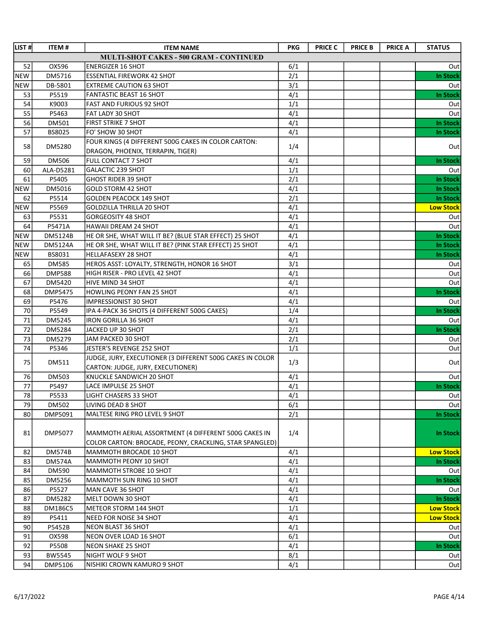| <b>LIST#</b> | <b>ITEM#</b>  | <b>ITEM NAME</b>                                          | <b>PKG</b> | <b>PRICE C</b> | <b>PRICE B</b> | <b>PRICE A</b> | <b>STATUS</b>    |
|--------------|---------------|-----------------------------------------------------------|------------|----------------|----------------|----------------|------------------|
|              |               | MULTI-SHOT CAKES - 500 GRAM - CONTINUED                   |            |                |                |                |                  |
| 52           | OX596         | <b>ENERGIZER 16 SHOT</b>                                  | 6/1        |                |                |                | Out              |
| <b>NEW</b>   | DM5716        | <b>ESSENTIAL FIREWORK 42 SHOT</b>                         | 2/1        |                |                |                | <b>In Stock</b>  |
| <b>NEW</b>   | DB-5801       | <b>EXTREME CAUTION 63 SHOT</b>                            | 3/1        |                |                |                | Out              |
| 53           | P5519         | <b>FANTASTIC BEAST 16 SHOT</b>                            | 4/1        |                |                |                | <b>In Stock</b>  |
| 54           | K9003         | <b>FAST AND FURIOUS 92 SHOT</b>                           | 1/1        |                |                |                | Out              |
| 55           | P5463         | FAT LADY 30 SHOT                                          | 4/1        |                |                |                | Out              |
| 56           | DM501         | <b>FIRST STRIKE 7 SHOT</b>                                | 4/1        |                |                |                | <b>In Stock</b>  |
| 57           | BS8025        | FO' SHOW 30 SHOT                                          | 4/1        |                |                |                | <b>In Stock</b>  |
| 58           | DM5280        | FOUR KINGS (4 DIFFERENT 500G CAKES IN COLOR CARTON:       | 1/4        |                |                |                | Out              |
|              |               | DRAGON, PHOENIX, TERRAPIN, TIGER)                         |            |                |                |                |                  |
| 59           | <b>DM506</b>  | FULL CONTACT 7 SHOT                                       | 4/1        |                |                |                | <b>In Stock</b>  |
| 60           | ALA-D5281     | <b>GALACTIC 239 SHOT</b>                                  | 1/1        |                |                |                | Out              |
| 61           | P5405         | <b>GHOST RIDER 39 SHOT</b>                                | 2/1        |                |                |                | <b>In Stock</b>  |
| <b>NEW</b>   | DM5016        | <b>GOLD STORM 42 SHOT</b>                                 | 4/1        |                |                |                | <b>In Stock</b>  |
| 62           | P5514         | <b>GOLDEN PEACOCK 149 SHOT</b>                            | 2/1        |                |                |                | <b>In Stock</b>  |
| <b>NEW</b>   | P5569         | <b>GOLDZILLA THRILLA 20 SHOT</b>                          | 4/1        |                |                |                | <b>Low Stock</b> |
| 63           | P5531         | <b>GORGEOSITY 48 SHOT</b>                                 | 4/1        |                |                |                | Out              |
| 64           | P5471A        | HAWAII DREAM 24 SHOT                                      | 4/1        |                |                |                | Out              |
| <b>NEW</b>   | DM5124B       | HE OR SHE, WHAT WILL IT BE? (BLUE STAR EFFECT) 25 SHOT    | 4/1        |                |                |                | <b>In Stock</b>  |
| <b>NEW</b>   | DM5124A       | HE OR SHE, WHAT WILL IT BE? (PINK STAR EFFECT) 25 SHOT    | 4/1        |                |                |                | <b>In Stock</b>  |
| <b>NEW</b>   | BS8031        | <b>HELLAFASEXY 28 SHOT</b>                                | 4/1        |                |                |                | <b>In Stock</b>  |
| 65           | <b>DM585</b>  | HEROS ASST: LOYALTY, STRENGTH, HONOR 16 SHOT              | 3/1        |                |                |                | Out              |
| 66           | <b>DMP588</b> | HIGH RISER - PRO LEVEL 42 SHOT                            | 4/1        |                |                |                | Out              |
| 67           | DM5420        | HIVE MIND 34 SHOT                                         | 4/1        |                |                |                | Out              |
| 68           | DMP5475       | HOWLING PEONY FAN 25 SHOT                                 | 4/1        |                |                |                | <b>In Stock</b>  |
| 69           | P5476         | IMPRESSIONIST 30 SHOT                                     | 4/1        |                |                |                | Out              |
| 70           | P5549         | IPA 4-PACK 36 SHOTS (4 DIFFERENT 500G CAKES)              | 1/4        |                |                |                | <b>In Stock</b>  |
| 71           | DM5245        | <b>IRON GORILLA 36 SHOT</b>                               | 4/1        |                |                |                | Out              |
| 72           | DM5284        | JACKED UP 30 SHOT                                         | 2/1        |                |                |                | <b>In Stock</b>  |
| 73           | DM5279        | JAM PACKED 30 SHOT                                        | 2/1        |                |                |                | Out              |
| 74           | P5346         | JESTER'S REVENGE 252 SHOT                                 | 1/1        |                |                |                | Out              |
| 75           | DM511         | JUDGE, JURY, EXECUTIONER (3 DIFFERENT 500G CAKES IN COLOR | 1/3        |                |                |                | Out              |
|              |               | CARTON: JUDGE, JURY, EXECUTIONER)                         |            |                |                |                |                  |
| 76           | DM503         | KNUCKLE SANDWICH 20 SHOT                                  | 4/1        |                |                |                | Out              |
| 77           | P5497         | LACE IMPULSE 25 SHOT                                      | 4/1        |                |                |                | In Stock         |
| 78           | P5533         | <b>LIGHT CHASERS 33 SHOT</b>                              | 4/1        |                |                |                | Out              |
| 79           | DM502         | LIVING DEAD 8 SHOT                                        | 6/1        |                |                |                | Outl             |
| 80           | DMP5091       | MALTESE RING PRO LEVEL 9 SHOT                             | 2/1        |                |                |                | <b>In Stock</b>  |
| 81           | DMP5077       | MAMMOTH AERIAL ASSORTMENT (4 DIFFERENT 500G CAKES IN      | 1/4        |                |                |                | In Stock         |
|              |               | COLOR CARTON: BROCADE, PEONY, CRACKLING, STAR SPANGLED)   |            |                |                |                |                  |
| 82           | <b>DM574B</b> | MAMMOTH BROCADE 10 SHOT                                   | 4/1        |                |                |                | <b>Low Stock</b> |
| 83           | <b>DM574A</b> | MAMMOTH PEONY 10 SHOT                                     | 4/1        |                |                |                | <b>In Stock</b>  |
| 84           | <b>DM590</b>  | MAMMOTH STROBE 10 SHOT                                    | 4/1        |                |                |                | Outl             |
| 85           | DM5256        | MAMMOTH SUN RING 10 SHOT                                  | 4/1        |                |                |                | <b>In Stock</b>  |
| 86           | P5527         | MAN CAVE 36 SHOT                                          | 4/1        |                |                |                | Out              |
| 87           | DM5282        | MELT DOWN 30 SHOT                                         | 4/1        |                |                |                | <b>In Stock</b>  |
| 88           | DM186C5       | METEOR STORM 144 SHOT                                     | 1/1        |                |                |                | <b>Low Stock</b> |
| 89           | P5411         | NEED FOR NOISE 34 SHOT                                    | 4/1        |                |                |                | <b>Low Stock</b> |
| 90           | P5452B        | NEON BLAST 36 SHOT                                        | 4/1        |                |                |                | Out              |
| 91           | OX598         | NEON OVER LOAD 16 SHOT                                    | 6/1        |                |                |                | Out              |
| 92           | P5508         | NEON SHAKE 25 SHOT                                        | 4/1        |                |                |                | <b>In Stock</b>  |
| 93           | <b>BW5545</b> | NIGHT WOLF 9 SHOT                                         | 8/1        |                |                |                | Outl             |
| 94           | DMP5106       | NISHIKI CROWN KAMURO 9 SHOT                               | 4/1        |                |                |                | Out              |
|              |               |                                                           |            |                |                |                |                  |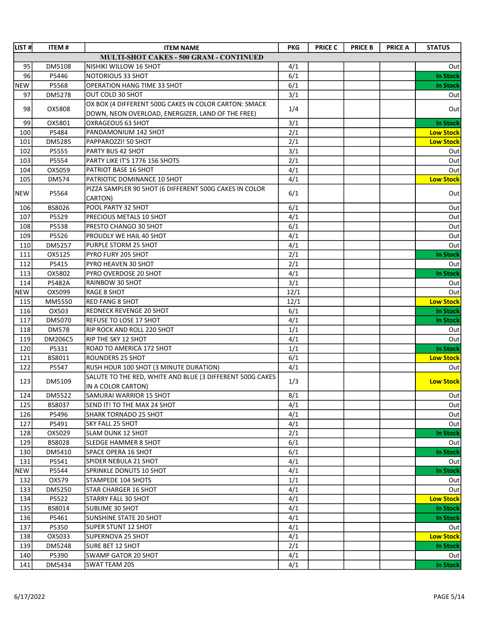| LIST#      | <b>ITEM#</b>   | <b>ITEM NAME</b>                                                                | <b>PKG</b> | <b>PRICE C</b> | <b>PRICE B</b> | <b>PRICE A</b> | <b>STATUS</b>    |
|------------|----------------|---------------------------------------------------------------------------------|------------|----------------|----------------|----------------|------------------|
|            |                | MULTI-SHOT CAKES - 500 GRAM - CONTINUED                                         |            |                |                |                |                  |
| 95         | DM5108         | NISHIKI WILLOW 16 SHOT                                                          | 4/1        |                |                |                | Out              |
| 96         | P5446          | <b>NOTORIOUS 33 SHOT</b>                                                        | 6/1        |                |                |                | <b>In Stock</b>  |
| <b>NEW</b> | P5568          | OPERATION HANG TIME 33 SHOT                                                     | 6/1        |                |                |                | In Stock         |
| 97         | DM5278         | OUT COLD 30 SHOT                                                                | 3/1        |                |                |                | Out              |
| 98         | OX5808         | OX BOX (4 DIFFERENT 500G CAKES IN COLOR CARTON: SMACK                           | 1/4        |                |                |                | Out              |
|            |                | DOWN, NEON OVERLOAD, ENERGIZER, LAND OF THE FREE)                               |            |                |                |                |                  |
| 99         | OX5801         | OXRAGEOUS 63 SHOT                                                               | 3/1        |                |                |                | In Stock         |
| 100        | P5484          | PANDAMONIUM 142 SHOT                                                            | 2/1        |                |                |                | <b>Low Stock</b> |
| 101        | DM5285         | PAPPAROZZI! 50 SHOT                                                             | 2/1        |                |                |                | <b>Low Stock</b> |
| 102        | P5555          | <b>PARTY BUS 42 SHOT</b>                                                        | 3/1        |                |                |                | Out              |
| 103        | P5554          | PARTY LIKE IT'S 1776 156 SHOTS                                                  | 2/1        |                |                |                | Out              |
| 104        | OX5059         | PATRIOT BASE 16 SHOT                                                            | 4/1        |                |                |                | Out              |
| 105        | <b>DM574</b>   | PATRIOTIC DOMINANCE 10 SHOT                                                     | 4/1        |                |                |                | <b>Low Stock</b> |
| <b>NEW</b> | P5564          | PIZZA SAMPLER 90 SHOT (6 DIFFERENT 500G CAKES IN COLOR<br>CARTON)               | 6/1        |                |                |                | Out              |
| 106        | BS8026         | POOL PARTY 32 SHOT                                                              | 6/1        |                |                |                | Out              |
| 107        | P5529          | PRECIOUS METALS 10 SHOT                                                         | 4/1        |                |                |                | Out              |
| 108        | P5538          | PRESTO CHANGO 30 SHOT                                                           | 6/1        |                |                |                | Out              |
| 109        | P5526          | PROUDLY WE HAIL 40 SHOT                                                         | 4/1        |                |                |                | Out              |
| 110        | DM5257         | PURPLE STORM 25 SHOT                                                            | 4/1        |                |                |                | Out              |
| 111        | OX5125         | PYRO FURY 205 SHOT                                                              | 2/1        |                |                |                | <b>In Stock</b>  |
| 112        | P5415          | PYRO HEAVEN 30 SHOT                                                             | 2/1        |                |                |                | Out              |
| 113        | OX5802         | PYRO OVERDOSE 20 SHOT                                                           | 4/1        |                |                |                | <b>In Stock</b>  |
| 114        | P5482A         | RAINBOW 30 SHOT                                                                 | 3/1        |                |                |                | Out              |
| <b>NEW</b> | OX5099         | <b>RAGE 8 SHOT</b>                                                              | 12/1       |                |                |                | Out              |
| 115        | MM5550         | <b>RED FANG 8 SHOT</b>                                                          | 12/1       |                |                |                | <b>Low Stock</b> |
| 116        | OX503          | <b>REDNECK REVENGE 20 SHOT</b>                                                  | 6/1        |                |                |                | In Stock         |
| 117        | DM5070         | REFUSE TO LOSE 17 SHOT                                                          | 4/1        |                |                |                | In Stock         |
| 118        | <b>DM578</b>   | <b>RIP ROCK AND ROLL 220 SHOT</b>                                               | 1/1        |                |                |                | Out              |
| 119        | <b>DM206C5</b> | <b>RIP THE SKY 12 SHOT</b>                                                      | 4/1        |                |                |                | Out              |
| 120        | P5331          | ROAD TO AMERICA 172 SHOT                                                        | 1/1        |                |                |                | <b>In Stock</b>  |
| 121        | BS8011         | <b>ROUNDERS 25 SHOT</b>                                                         | 6/1        |                |                |                | <b>Low Stock</b> |
| 122        | P5547          | RUSH HOUR 100 SHOT (3 MINUTE DURATION)                                          | 4/1        |                |                |                | Out              |
| 123        | DM5109         | SALUTE TO THE RED, WHITE AND BLUE (3 DIFFERENT 500G CAKES<br>IN A COLOR CARTON) | 1/3        |                |                |                | <b>Low Stock</b> |
| 124        | DM5522         | SAMURAI WARRIOR 15 SHOT                                                         | 8/1        |                |                |                | Out              |
| 125        | BS8037         | SEND IT! TO THE MAX 24 SHOT                                                     | 4/1        |                |                |                | Out              |
| 126        | P5496          | <b>SHARK TORNADO 25 SHOT</b>                                                    | 4/1        |                |                |                | Out              |
| 127        | P5491          | <b>SKY FALL 25 SHOT</b>                                                         | 4/1        |                |                |                | Out              |
| 128        | OX5029         | <b>SLAM DUNK 12 SHOT</b>                                                        | 2/1        |                |                |                | In Stock         |
| 129        | <b>BS8028</b>  | SLEDGE HAMMER 8 SHOT                                                            | 6/1        |                |                |                | Out              |
| 130        | DM5410         | <b>SPACE OPERA 16 SHOT</b>                                                      | 6/1        |                |                |                | In Stock         |
| 131        | P5541          | SPIDER NEBULA 21 SHOT                                                           | 4/1        |                |                |                | Out              |
| NEW        | P5544          | SPRINKLE DONUTS 10 SHOT                                                         | 4/1        |                |                |                | In Stock         |
| 132        | OX579          | STAMPEDE 104 SHOTS                                                              | 1/1        |                |                |                | Out              |
| 133        | DM5250         | STAR CHARGER 16 SHOT                                                            | 4/1        |                |                |                | Out              |
| 134        | P5522          | STARRY FALL 30 SHOT                                                             | 4/1        |                |                |                | <b>Low Stock</b> |
| 135        | BS8014         | SUBLIME 30 SHOT                                                                 | 4/1        |                |                |                | <b>In Stock</b>  |
| 136        | P5461          | SUNSHINE STATE 20 SHOT                                                          | 4/1        |                |                |                | In Stock         |
| 137        | P5350          | <b>SUPER STUNT 12 SHOT</b>                                                      | 4/1        |                |                |                | Out              |
| 138        | OX5033         | SUPERNOVA 25 SHOT                                                               | 4/1        |                |                |                | <b>Low Stock</b> |
| 139        | DM5248         | SURE BET 12 SHOT                                                                | 2/1        |                |                |                | In Stock         |
| 140        | P5390          | SWAMP GATOR 20 SHOT                                                             | 4/1        |                |                |                | Out              |
| 141        | DM5434         | SWAT TEAM 20S                                                                   | 4/1        |                |                |                | In Stock         |
|            |                |                                                                                 |            |                |                |                |                  |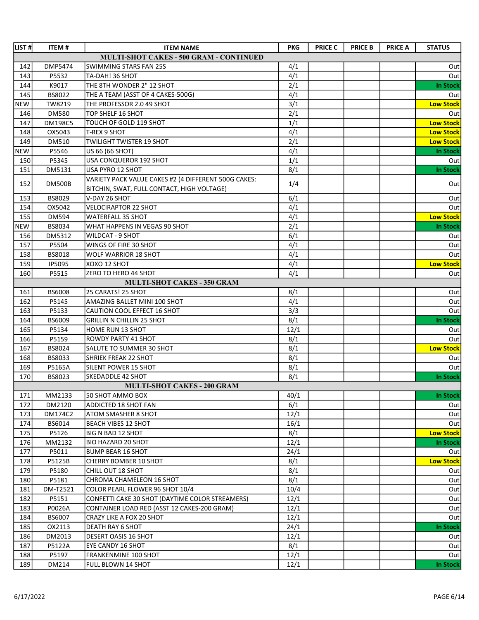| LIST#      | <b>ITEM#</b>   | <b>ITEM NAME</b>                                     | <b>PKG</b> | <b>PRICE C</b> | <b>PRICE B</b> | <b>PRICE A</b> | <b>STATUS</b>    |
|------------|----------------|------------------------------------------------------|------------|----------------|----------------|----------------|------------------|
|            |                | MULTI-SHOT CAKES - 500 GRAM - CONTINUED              |            |                |                |                |                  |
| 142        | DMP5474        | SWIMMING STARS FAN 25S                               | 4/1        |                |                |                | Out              |
| 143        | P5532          | TA-DAH! 36 SHOT                                      | 4/1        |                |                |                | Out              |
| 144        | K9017          | THE 8TH WONDER 2" 12 SHOT                            | 2/1        |                |                |                | <b>In Stock</b>  |
| 145        | BS8022         | THE A TEAM (ASST OF 4 CAKES-500G)                    | 4/1        |                |                |                | Out              |
| <b>NEW</b> | TW8219         | THE PROFESSOR 2.0 49 SHOT                            | 3/1        |                |                |                | <b>Low Stock</b> |
| 146        | DM580          | TOP SHELF 16 SHOT                                    | 2/1        |                |                |                | Out              |
| 147        | <b>DM198C5</b> | TOUCH OF GOLD 119 SHOT                               | 1/1        |                |                |                | <b>Low Stock</b> |
| 148        | OX5043         | <b>T-REX 9 SHOT</b>                                  | 4/1        |                |                |                | <b>Low Stock</b> |
| 149        | DM510          | <b>TWILIGHT TWISTER 19 SHOT</b>                      | 2/1        |                |                |                | <b>Low Stock</b> |
| <b>NEW</b> | P5546          | US 66 (66 SHOT)                                      | 4/1        |                |                |                | <b>In Stock</b>  |
| 150        | P5345          | USA CONQUEROR 192 SHOT                               | 1/1        |                |                |                | Out              |
| 151        | DM5131         | USA PYRO 12 SHOT                                     | 8/1        |                |                |                | <b>In Stock</b>  |
| 152        | <b>DM500B</b>  | VARIETY PACK VALUE CAKES #2 (4 DIFFERENT 500G CAKES: | 1/4        |                |                |                | Out              |
|            |                | BITCHIN, SWAT, FULL CONTACT, HIGH VOLTAGE)           |            |                |                |                |                  |
| 153        | BS8029         | V-DAY 26 SHOT                                        | 6/1        |                |                |                | Out              |
| 154        | OX5042         | <b>VELOCIRAPTOR 22 SHOT</b>                          | 4/1        |                |                |                | Out              |
| 155        | DM594          | <b>WATERFALL 35 SHOT</b>                             | 4/1        |                |                |                | <b>Low Stock</b> |
| <b>NEW</b> | BS8034         | WHAT HAPPENS IN VEGAS 90 SHOT                        | 2/1        |                |                |                | <b>In Stock</b>  |
| 156        | DM5312         | <b>WILDCAT - 9 SHOT</b>                              | 6/1        |                |                |                | Out              |
| 157        | P5504          | WINGS OF FIRE 30 SHOT                                | 4/1        |                |                |                | Out              |
| 158        | BS8018         | <b>WOLF WARRIOR 18 SHOT</b>                          | 4/1        |                |                |                | Out              |
| 159        | IP5095         | XOXO 12 SHOT                                         | 4/1        |                |                |                | <b>Low Stock</b> |
| 160        | P5515          | ZERO TO HERO 44 SHOT                                 | 4/1        |                |                |                | Out              |
|            |                | MULTI-SHOT CAKES - 350 GRAM                          |            |                |                |                |                  |
| 161        | <b>BS6008</b>  | 25 CARATS! 25 SHOT                                   | 8/1        |                |                |                | Out              |
| 162        | P5145          | AMAZING BALLET MINI 100 SHOT                         | 4/1        |                |                |                | Out              |
| 163        | P5133          | CAUTION COOL EFFECT 16 SHOT                          | 3/3        |                |                |                | Out              |
| 164        | BS6009         | <b>GRILLIN N CHILLIN 25 SHOT</b>                     | 8/1        |                |                |                | <b>In Stock</b>  |
| 165        | P5134          | HOME RUN 13 SHOT                                     | 12/1       |                |                |                | Out              |
| 166        | P5159          | <b>ROWDY PARTY 41 SHOT</b>                           | 8/1        |                |                |                | Out              |
| 167        | BS8024         | SALUTE TO SUMMER 30 SHOT                             | 8/1        |                |                |                | <b>Low Stock</b> |
| 168        | BS8033         | SHRIEK FREAK 22 SHOT                                 | 8/1        |                |                |                | Out              |
| 169        | P5165A         | SILENT POWER 15 SHOT                                 | 8/1        |                |                |                | Out              |
| 170        | BS8023         | SKEDADDLE 42 SHOT                                    | 8/1        |                |                |                | <b>In Stock</b>  |
|            |                | <b>MULTI-SHOT CAKES - 200 GRAM</b>                   |            |                |                |                |                  |
| 171        | MM2133         | 50 SHOT AMMO BOX                                     | 40/1       |                |                |                | <b>In Stock</b>  |
| 172        | DM2120         | <b>ADDICTED 18 SHOT FAN</b>                          | 6/1        |                |                |                | Outl             |
| 173        | DM174C2        | ATOM SMASHER 8 SHOT                                  | 12/1       |                |                |                | Out              |
| 174        | BS6014         | <b>BEACH VIBES 12 SHOT</b>                           | 16/1       |                |                |                | Out              |
| 175        | P5126          | <b>BIG N BAD 12 SHOT</b>                             | 8/1        |                |                |                | <b>Low Stock</b> |
| 176        | MM2132         | <b>BIO HAZARD 20 SHOT</b>                            | 12/1       |                |                |                | <b>In Stock</b>  |
| 177        | P5011          | <b>BUMP BEAR 16 SHOT</b>                             | 24/1       |                |                |                | Outl             |
| 178        | P5125B         | CHERRY BOMBER 10 SHOT                                | 8/1        |                |                |                | <b>Low Stock</b> |
| 179        | P5180          | CHILL OUT 18 SHOT                                    | 8/1        |                |                |                | Out              |
| 180        | P5181          | CHROMA CHAMELEON 16 SHOT                             | 8/1        |                |                |                | Out              |
| 181        | DM-T2521       | COLOR PEARL FLOWER 96 SHOT 10/4                      | 10/4       |                |                |                | Out              |
| 182        | P5151          | CONFETTI CAKE 30 SHOT (DAYTIME COLOR STREAMERS)      | 12/1       |                |                |                | Out              |
| 183        | P0026A         | CONTAINER LOAD RED (ASST 12 CAKES-200 GRAM)          | 12/1       |                |                |                | Out              |
| 184        | BS6007         | <b>CRAZY LIKE A FOX 20 SHOT</b>                      | 12/1       |                |                |                | Out              |
| 185        | OX2113         | <b>DEATH RAY 6 SHOT</b>                              | 24/1       |                |                |                | <b>In Stock</b>  |
| 186        | DM2013         | DESERT OASIS 16 SHOT                                 | 12/1       |                |                |                | Outl             |
| 187        | P5122A         | <b>EYE CANDY 16 SHOT</b>                             | 8/1        |                |                |                | Out              |
| 188        | P5197          | FRANKENMINE 100 SHOT                                 | 12/1       |                |                |                | Out              |
| 189        | DM214          | <b>FULL BLOWN 14 SHOT</b>                            | 12/1       |                |                |                | In Stock         |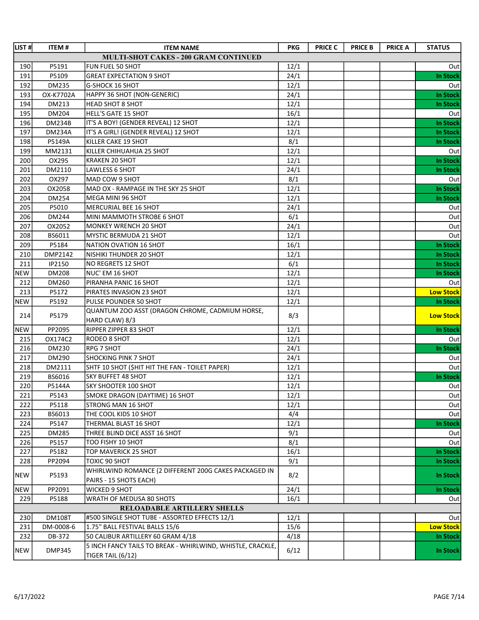| LIST#      | <b>ITEM#</b>  | <b>ITEM NAME</b>                                                    | <b>PKG</b> | <b>PRICE C</b> | <b>PRICE B</b> | <b>PRICE A</b> | <b>STATUS</b>    |
|------------|---------------|---------------------------------------------------------------------|------------|----------------|----------------|----------------|------------------|
|            |               | MULTI-SHOT CAKES - 200 GRAM CONTINUED                               |            |                |                |                |                  |
| 190        | P5191         | FUN FUEL 50 SHOT                                                    | 12/1       |                |                |                | Out              |
| 191        | P5109         | <b>GREAT EXPECTATION 9 SHOT</b>                                     | 24/1       |                |                |                | <b>In Stock</b>  |
| 192        | DM235         | G-SHOCK 16 SHOT                                                     | 12/1       |                |                |                | Out              |
| 193        | OX-K7702A     | HAPPY 36 SHOT (NON-GENERIC)                                         | 24/1       |                |                |                | <b>In Stock</b>  |
| 194        | DM213         | <b>HEAD SHOT 8 SHOT</b>                                             | 12/1       |                |                |                | <b>In Stock</b>  |
| 195        | DM204         | HELL'S GATE 15 SHOT                                                 | 16/1       |                |                |                | Out              |
| 196        | <b>DM234B</b> | IT'S A BOY! (GENDER REVEAL) 12 SHOT                                 | 12/1       |                |                |                | <b>In Stock</b>  |
| 197        | <b>DM234A</b> | IT'S A GIRL! (GENDER REVEAL) 12 SHOT                                | 12/1       |                |                |                | <b>In Stock</b>  |
| 198        | P5149A        | KILLER CAKE 19 SHOT                                                 | 8/1        |                |                |                | <b>In Stock</b>  |
| 199        | MM2131        | KILLER CHIHUAHUA 25 SHOT                                            | 12/1       |                |                |                | Out              |
| 200        | OX295         | KRAKEN 20 SHOT                                                      | 12/1       |                |                |                | <b>In Stock</b>  |
| 201        | DM2110        | LAWLESS 6 SHOT                                                      | 24/1       |                |                |                | <b>In Stock</b>  |
| 202        | OX297         | MAD COW 9 SHOT                                                      | 8/1        |                |                |                | Out              |
| 203        | OX2058        | MAD OX - RAMPAGE IN THE SKY 25 SHOT                                 | 12/1       |                |                |                | <b>In Stock</b>  |
| 204        | DM254         | MEGA MINI 96 SHOT                                                   | 12/1       |                |                |                | <b>In Stock</b>  |
| 205        | P5010         | MERCURIAL BEE 16 SHOT                                               | 24/1       |                |                |                | Out              |
| 206        | DM244         | MINI MAMMOTH STROBE 6 SHOT                                          | 6/1        |                |                |                | Out              |
| 207        | OX2052        | MONKEY WRENCH 20 SHOT                                               | 24/1       |                |                |                | Out              |
| 208        | BS6011        | MYSTIC BERMUDA 21 SHOT                                              | 12/1       |                |                |                | Out              |
| 209        | P5184         | NATION OVATION 16 SHOT                                              | 16/1       |                |                |                | <b>In Stock</b>  |
| 210        | DMP2142       | NISHIKI THUNDER 20 SHOT                                             | 12/1       |                |                |                | <b>In Stock</b>  |
| 211        | IP2150        | NO REGRETS 12 SHOT                                                  | 6/1        |                |                |                | <b>In Stock</b>  |
| <b>NEW</b> | <b>DM208</b>  | NUC' EM 16 SHOT                                                     | 12/1       |                |                |                | <b>In Stock</b>  |
| 212        | DM260         | PIRANHA PANIC 16 SHOT                                               | 12/1       |                |                |                | Out              |
| 213        | P5172         | PIRATES INVASION 23 SHOT                                            | 12/1       |                |                |                | <b>Low Stock</b> |
| <b>NEW</b> | P5192         | PULSE POUNDER 50 SHOT                                               | 12/1       |                |                |                | <b>In Stock</b>  |
| 214        | P5179         | QUANTUM ZOO ASST (DRAGON CHROME, CADMIUM HORSE,                     | 8/3        |                |                |                | <b>Low Stock</b> |
|            |               | HARD CLAW) 8/3                                                      |            |                |                |                |                  |
| <b>NEW</b> | PP2095        | RIPPER ZIPPER 83 SHOT                                               | 12/1       |                |                |                | <b>In Stock</b>  |
| 215        | OX174C2       | RODEO 8 SHOT                                                        | 12/1       |                |                |                | Out              |
| 216        | DM230         | RPG 7 SHOT                                                          | 24/1       |                |                |                | <b>In Stock</b>  |
| 217        | DM290         | SHOCKING PINK 7 SHOT                                                | 24/1       |                |                |                | Out              |
| 218        | DM2111        | SHTF 10 SHOT (\$HIT HIT THE FAN - TOILET PAPER)                     | 12/1       |                |                |                | Out              |
| 219        | BS6016        | <b>SKY BUFFET 48 SHOT</b>                                           | 12/1       |                |                |                | <b>In Stock</b>  |
| 220        | P5144A        | <b>SKY SHOOTER 100 SHOT</b>                                         | 12/1       |                |                |                | Out              |
| 221        | P5143         | SMOKE DRAGON (DAYTIME) 16 SHOT                                      | 12/1       |                |                |                | Out              |
| 222        | P5118         | STRONG MAN 16 SHOT                                                  | 12/1       |                |                |                | Out              |
| 223        | BS6013        | THE COOL KIDS 10 SHOT                                               | 4/4        |                |                |                | Out              |
| 224        | P5147         | THERMAL BLAST 16 SHOT                                               | 12/1       |                |                |                | <b>In Stock</b>  |
| 225        | DM285         | THREE BLIND DICE ASST 16 SHOT                                       | 9/1        |                |                |                | Out              |
| 226        | P5157         | TOO FISHY 10 SHOT                                                   | 8/1        |                |                |                | Out              |
| 227        | P5182         | TOP MAVERICK 25 SHOT                                                | 16/1       |                |                |                | <b>In Stock</b>  |
| 228        | PP2094        | <b>TOXIC 90 SHOT</b>                                                | 9/1        |                |                |                | <b>In Stock</b>  |
| <b>NEW</b> | P5193         | WHIRLWIND ROMANCE (2 DIFFERENT 200G CAKES PACKAGED IN               | 8/2        |                |                |                | In Stock         |
|            |               | PAIRS - 15 SHOTS EACH)                                              |            |                |                |                |                  |
| <b>NEW</b> | PP2091        | <b>WICKED 9 SHOT</b>                                                | 24/1       |                |                |                | <b>In Stock</b>  |
| 229        | P5188         | WRATH OF MEDUSA 80 SHOTS                                            | 16/1       |                |                |                | Outl             |
|            |               | RELOADABLE ARTILLERY SHELLS                                         |            |                |                |                |                  |
| 230        | <b>DM108T</b> | #500 SINGLE SHOT TUBE - ASSORTED EFFECTS 12/1                       | 12/1       |                |                |                | Out              |
| 231<br>232 | DM-0008-6     | 1.75" BALL FESTIVAL BALLS 15/6<br>50 CALIBUR ARTILLERY 60 GRAM 4/18 | 15/6       |                |                |                | <b>Low Stock</b> |
|            | DB-372        | 5 INCH FANCY TAILS TO BREAK - WHIRLWIND, WHISTLE, CRACKLE,          | 4/18       |                |                |                | <b>In Stock</b>  |
| <b>NEW</b> | <b>DMP345</b> | TIGER TAIL (6/12)                                                   | 6/12       |                |                |                | In Stock         |
|            |               |                                                                     |            |                |                |                |                  |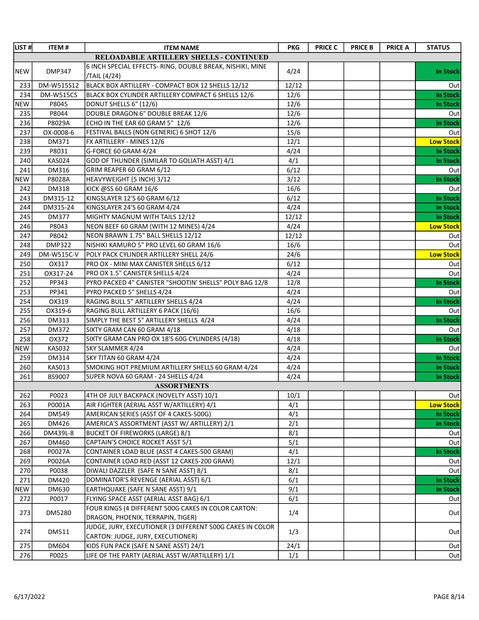| LIST#      | <b>ITEM#</b>     | <b>ITEM NAME</b>                                                          | <b>PKG</b> | <b>PRICE C</b> | <b>PRICE B</b> | <b>PRICE A</b> | <b>STATUS</b>    |
|------------|------------------|---------------------------------------------------------------------------|------------|----------------|----------------|----------------|------------------|
|            |                  | RELOADABLE ARTILLERY SHELLS - CONTINUED                                   |            |                |                |                |                  |
| <b>NEW</b> | <b>DMP347</b>    | 6 INCH SPECIAL EFFECTS- RING, DOUBLE BREAK, NISHIKI, MINE<br>/TAIL (4/24) | 4/24       |                |                |                | <b>In Stock</b>  |
| 233        | DM-W515S12       | BLACK BOX ARTILLERY - COMPACT BOX 12 SHELLS 12/12                         | 12/12      |                |                |                | Out              |
| 234        | <b>DM-W515CS</b> | BLACK BOX CYLINDER ARTILLERY COMPACT 6 SHELLS 12/6                        | 12/6       |                |                |                | <b>In Stock</b>  |
| <b>NEW</b> | P8045            | DONUT SHELLS 6" (12/6)                                                    | 12/6       |                |                |                | <b>In Stock</b>  |
| 235        | P8044            | DOUBLE DRAGON 6" DOUBLE BREAK 12/6                                        | 12/6       |                |                |                | Out              |
| 236        | P8029A           | ECHO IN THE EAR 60 GRAM 5" 12/6                                           | 12/6       |                |                |                | <b>In Stock</b>  |
| 237        | OX-0008-6        | FESTIVAL BALLS (NON GENERIC) 6 SHOT 12/6                                  | 15/6       |                |                |                | Out              |
| 238        | DM371            | FX ARTILLERY - MINES 12/6                                                 | 12/1       |                |                |                | <b>Low Stock</b> |
| 239        | P8031            | G-FORCE 60 GRAM 4/24                                                      | 4/24       |                |                |                | <b>In Stock</b>  |
| 240        | <b>KAS024</b>    | GOD OF THUNDER (SIMILAR TO GOLIATH ASST) 4/1                              | 4/1        |                |                |                | <b>In Stock</b>  |
| 241        | DM316            | GRIM REAPER 60 GRAM 6/12                                                  | 6/12       |                |                |                | Out              |
| <b>NEW</b> | P8028A           | <b>HEAVYWEIGHT (5 INCH) 3/12</b>                                          | 3/12       |                |                |                | <b>In Stock</b>  |
| 242        | DM318            | KICK @SS 60 GRAM 16/6                                                     | 16/6       |                |                |                | Out              |
| 243        | DM315-12         | KINGSLAYER 12'S 60 GRAM 6/12                                              | 6/12       |                |                |                | <b>In Stock</b>  |
| 244        | DM315-24         | KINGSLAYER 24'S 60 GRAM 4/24                                              | 4/24       |                |                |                | <b>In Stock</b>  |
| 245        | <b>DM377</b>     | MIGHTY MAGNUM WITH TAILS 12/12                                            | 12/12      |                |                |                | <b>In Stock</b>  |
| 246        | P8043            | NEON BEEF 60 GRAM (WITH 12 MINES) 4/24                                    | 4/24       |                |                |                | <b>Low Stock</b> |
| 247        | P8042            | NEON BRAWN 1.75" BALL SHELLS 12/12                                        | 12/12      |                |                |                | Out              |
| 248        | <b>DMP322</b>    | NISHIKI KAMURO 5" PRO LEVEL 60 GRAM 16/6                                  | 16/6       |                |                |                | Out              |
| 249        | DM-W515C-V       | POLY PACK CYLINDER ARTILLERY SHELL 24/6                                   | 24/6       |                |                |                | <b>Low Stock</b> |
| 250        | OX317            | PRO OX - MINI MAX CANISTER SHELLS 6/12                                    | 6/12       |                |                |                | Out              |
| 251        | OX317-24         | PRO OX 1.5" CANISTER SHELLS 4/24                                          | 4/24       |                |                |                | Out              |
| 252        | PP343            | PYRO PACKED 4" CANISTER "SHOOTIN' SHELLS" POLY BAG 12/8                   | 12/8       |                |                |                | <b>In Stock</b>  |
| 253        | PP341            | PYRO PACKED 5" SHELLS 4/24                                                | 4/24       |                |                |                | Out              |
| 254        | OX319            | RAGING BULL 5" ARTILLERY SHELLS 4/24                                      | 4/24       |                |                |                | <b>In Stock</b>  |
| 255        | OX319-6          | RAGING BULL ARTILLERY 6 PACK (16/6)                                       | 16/6       |                |                |                | Out              |
| 256        | DM313            | SIMPLY THE BEST 5" ARTILLERY SHELLS 4/24                                  | 4/24       |                |                |                | <b>In Stock</b>  |
| 257        | DM372            | SIXTY GRAM CAN 60 GRAM 4/18                                               | 4/18       |                |                |                | Out              |
| 258        | OX372            | SIXTY GRAM CAN PRO OX 18'S 60G CYLINDERS (4/18)                           | 4/18       |                |                |                | <b>In Stock</b>  |
| <b>NEW</b> | <b>KAS032</b>    | SKY SLAMMER 4/24                                                          | 4/24       |                |                |                | Out              |
| 259        | DM314            | SKY TITAN 60 GRAM 4/24                                                    | 4/24       |                |                |                | <b>In Stock</b>  |
| 260        | <b>KAS013</b>    | SMOKING HOT PREMIUM ARTILLERY SHELLS 60 GRAM 4/24                         | 4/24       |                |                |                | <b>In Stock</b>  |
| 261        | BS9007           | SUPER NOVA 60 GRAM - 24 SHELLS 4/24                                       | 4/24       |                |                |                | <b>In Stock</b>  |
|            |                  | <b>ASSORTMENTS</b>                                                        |            |                |                |                |                  |
| 262        | P0023            | 4TH OF JULY BACKPACK (NOVELTY ASST) 10/1                                  | 10/1       |                |                |                | Out              |
| 263        | P0001A           | AIR FIGHTER (AERIAL ASST W/ARTILLERY) 4/1                                 | 4/1        |                |                |                | <b>Low Stock</b> |
| 264        | DM549            | AMERICAN SERIES (ASST OF 4 CAKES-500G)                                    | 4/1        |                |                |                | <b>In Stock</b>  |
| 265        | DM426            | AMERICA'S ASSORTMENT (ASST W/ ARTILLERY) 2/1                              | 2/1        |                |                |                | <b>In Stock</b>  |
| 266        | DM439L-8         | <b>BUCKET OF FIREWORKS (LARGE) 8/1</b>                                    | 8/1        |                |                |                | Out              |
| 267        | DM460            | CAPTAIN'S CHOICE ROCKET ASST 5/1                                          | 5/1        |                |                |                | Out              |
| 268        | P0027A           | CONTAINER LOAD BLUE (ASST 4 CAKES-500 GRAM)                               | 4/1        |                |                |                | <b>In Stock</b>  |
| 269        | P0026A           | CONTAINER LOAD RED (ASST 12 CAKES-200 GRAM)                               | 12/1       |                |                |                | Out              |
| 270        | P0038            | DIWALI DAZZLER (SAFE N SANE ASST) 8/1                                     | 8/1        |                |                |                | Out              |
| 271        | DM420            | DOMINATOR'S REVENGE (AERIAL ASST) 6/1                                     | 6/1        |                |                |                | <b>In Stock</b>  |
| <b>NEW</b> | DM630            | EARTHQUAKE (SAFE N SANE ASST) 9/1                                         | 9/1        |                |                |                | <b>In Stock</b>  |
| 272        | P0017            | FLYING SPACE ASST (AERIAL ASST BAG) 6/1                                   | 6/1        |                |                |                | Outl             |
| 273        | DM5280           | FOUR KINGS (4 DIFFERENT 500G CAKES IN COLOR CARTON:                       |            |                |                |                | Out              |
|            |                  | DRAGON, PHOENIX, TERRAPIN, TIGER)                                         | 1/4        |                |                |                |                  |
| 274        | DM511            | JUDGE, JURY, EXECUTIONER (3 DIFFERENT 500G CAKES IN COLOR                 | 1/3        |                |                |                |                  |
|            |                  | CARTON: JUDGE, JURY, EXECUTIONER)                                         |            |                |                |                | Out              |
| 275        | DM604            | KIDS FUN PACK (SAFE N SANE ASST) 24/1                                     | 24/1       |                |                |                | Out              |
| 276        | P0025            | LIFE OF THE PARTY (AERIAL ASST W/ARTILLERY) 1/1                           | 1/1        |                |                |                | Out              |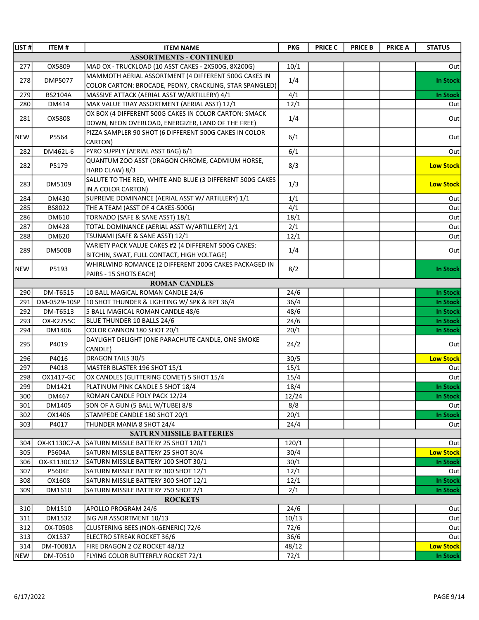| LIST#      | <b>ITEM#</b>     | <b>ITEM NAME</b>                                                                                                | <b>PKG</b>    | <b>PRICE C</b> | <b>PRICE B</b> | <b>PRICE A</b> | <b>STATUS</b>    |
|------------|------------------|-----------------------------------------------------------------------------------------------------------------|---------------|----------------|----------------|----------------|------------------|
|            |                  | <b>ASSORTMENTS - CONTINUED</b>                                                                                  |               |                |                |                |                  |
| 277        | OX5809           | MAD OX - TRUCKLOAD (10 ASST CAKES - 2X500G, 8X200G)                                                             | 10/1          |                |                |                | Out              |
| 278        | DMP5077          | MAMMOTH AERIAL ASSORTMENT (4 DIFFERENT 500G CAKES IN<br>COLOR CARTON: BROCADE, PEONY, CRACKLING, STAR SPANGLED) | 1/4           |                |                |                | <b>In Stock</b>  |
| 279        | BS2104A          | MASSIVE ATTACK (AERIAL ASST W/ARTILLERY) 4/1                                                                    | 4/1           |                |                |                | <b>In Stock</b>  |
| 280        | DM414            | MAX VALUE TRAY ASSORTMENT (AERIAL ASST) 12/1                                                                    | 12/1          |                |                |                | Out              |
| 281        | OX5808           | OX BOX (4 DIFFERENT 500G CAKES IN COLOR CARTON: SMACK<br>DOWN, NEON OVERLOAD, ENERGIZER, LAND OF THE FREE)      | 1/4           |                |                |                | Out              |
| <b>NEW</b> | P5564            | PIZZA SAMPLER 90 SHOT (6 DIFFERENT 500G CAKES IN COLOR<br>CARTON)                                               | 6/1           |                |                |                | Out              |
| 282        | DM462L-6         | PYRO SUPPLY (AERIAL ASST BAG) 6/1                                                                               | 6/1           |                |                |                | Out              |
|            |                  | QUANTUM ZOO ASST (DRAGON CHROME, CADMIUM HORSE,                                                                 |               |                |                |                |                  |
| 282        | P5179            | HARD CLAW) 8/3                                                                                                  | 8/3           |                |                |                | <b>Low Stock</b> |
| 283        | DM5109           | SALUTE TO THE RED, WHITE AND BLUE (3 DIFFERENT 500G CAKES<br>IN A COLOR CARTON)                                 | 1/3           |                |                |                | <b>Low Stock</b> |
| 284        | <b>DM430</b>     | SUPREME DOMINANCE (AERIAL ASST W/ ARTILLERY) 1/1                                                                | 1/1           |                |                |                | Out              |
| 285        | BS8022           | THE A TEAM (ASST OF 4 CAKES-500G)                                                                               | 4/1           |                |                |                | Out              |
| 286        | DM610            | TORNADO (SAFE & SANE ASST) 18/1                                                                                 | 18/1          |                |                |                | Out              |
| 287        | DM428            | TOTAL DOMINANCE (AERIAL ASST W/ARTILLERY) 2/1                                                                   | 2/1           |                |                |                | Out              |
| 288        | DM620            | TSUNAMI (SAFE & SANE ASST) 12/1                                                                                 | 12/1          |                |                |                | Out              |
|            |                  | VARIETY PACK VALUE CAKES #2 (4 DIFFERENT 500G CAKES:                                                            |               |                |                |                |                  |
| 289        | <b>DM500B</b>    | BITCHIN, SWAT, FULL CONTACT, HIGH VOLTAGE)                                                                      | 1/4           |                |                |                | Out              |
|            |                  | WHIRLWIND ROMANCE (2 DIFFERENT 200G CAKES PACKAGED IN                                                           |               |                |                |                |                  |
| NEW        | P5193            | PAIRS - 15 SHOTS EACH)                                                                                          | 8/2           |                |                |                | In Stock         |
|            |                  | <b>ROMAN CANDLES</b>                                                                                            |               |                |                |                |                  |
| 290        | DM-T6515         | 10 BALL MAGICAL ROMAN CANDLE 24/6                                                                               | 24/6          |                |                |                | In Stock         |
| 291        | DM-0529-10SP     | 10 SHOT THUNDER & LIGHTING W/ SPK & RPT 36/4                                                                    | 36/4          |                |                |                | In Stock         |
| 292        | DM-T6513         | 5 BALL MAGICAL ROMAN CANDLE 48/6                                                                                | 48/6          |                |                |                | In Stock         |
| 293        | OX-K2255C        | BLUE THUNDER 10 BALLS 24/6                                                                                      | 24/6          |                |                |                | In Stock         |
| 294        | DM1406           | COLOR CANNON 180 SHOT 20/1                                                                                      | 20/1          |                |                |                | In Stock         |
| 295        | P4019            | DAYLIGHT DELIGHT (ONE PARACHUTE CANDLE, ONE SMOKE                                                               | 24/2          |                |                |                | Out              |
|            |                  | CANDLE)                                                                                                         |               |                |                |                |                  |
| 296        | P4016            | DRAGON TAILS 30/5                                                                                               | 30/5          |                |                |                | <b>Low Stock</b> |
| 297        | P4018            | MASTER BLASTER 196 SHOT 15/1                                                                                    | 15/1          |                |                |                | Out              |
| 298        | OX1417-GC        | OX CANDLES (GLITTERING COMET) 5 SHOT 15/4                                                                       | 15/4          |                |                |                | Out              |
| 299        | DM1421           | PLATINUM PINK CANDLE 5 SHOT 18/4                                                                                | 18/4          |                |                |                | <b>In Stock</b>  |
| 300        | DM467            | ROMAN CANDLE POLY PACK 12/24                                                                                    | 12/24         |                |                |                | In Stock         |
| 301        | DM1405           | SON OF A GUN (5 BALL W/TUBE) 8/8                                                                                | 8/8           |                |                |                | Out              |
| 302        | OX1406           | STAMPEDE CANDLE 180 SHOT 20/1                                                                                   | 20/1          |                |                |                | In Stock         |
| 303        | P4017            | THUNDER MANIA 8 SHOT 24/4                                                                                       | 24/4          |                |                |                | Out              |
|            |                  | <b>SATURN MISSILE BATTERIES</b>                                                                                 |               |                |                |                |                  |
| 304        | OX-K1130C7-A     | SATURN MISSILE BATTERY 25 SHOT 120/1                                                                            | 120/1         |                |                |                | Out              |
| 305        | P5604A           | SATURN MISSILE BATTERY 25 SHOT 30/4                                                                             | 30/4          |                |                |                | <b>Low Stock</b> |
| 306        | OX-K1130C12      | SATURN MISSILE BATTERY 100 SHOT 30/1                                                                            | 30/1          |                |                |                | In Stock         |
| 307        | P5604E           | SATURN MISSILE BATTERY 300 SHOT 12/1                                                                            | 12/1          |                |                |                | Out              |
| 308        | OX1608           | SATURN MISSILE BATTERY 300 SHOT 12/1                                                                            | 12/1          |                |                |                | <b>In Stock</b>  |
| 309        | DM1610           | SATURN MISSILE BATTERY 750 SHOT 2/1<br><b>ROCKETS</b>                                                           | 2/1           |                |                |                | In Stock         |
|            |                  | APOLLO PROGRAM 24/6                                                                                             |               |                |                |                |                  |
| 310<br>311 | DM1510<br>DM1532 | BIG AIR ASSORTMENT 10/13                                                                                        | 24/6<br>10/13 |                |                |                | Out<br>Out       |
| 312        | OX-T0508         | CLUSTERING BEES (NON-GENERIC) 72/6                                                                              | 72/6          |                |                |                | Out              |
| 313        | OX1537           | ELECTRO STREAK ROCKET 36/6                                                                                      | 36/6          |                |                |                | Out              |
| 314        | DM-T0081A        | FIRE DRAGON 2 OZ ROCKET 48/12                                                                                   | 48/12         |                |                |                | <b>Low Stock</b> |
| <b>NEW</b> | DM-T0510         | FLYING COLOR BUTTERFLY ROCKET 72/1                                                                              | 72/1          |                |                |                | In Stock         |
|            |                  |                                                                                                                 |               |                |                |                |                  |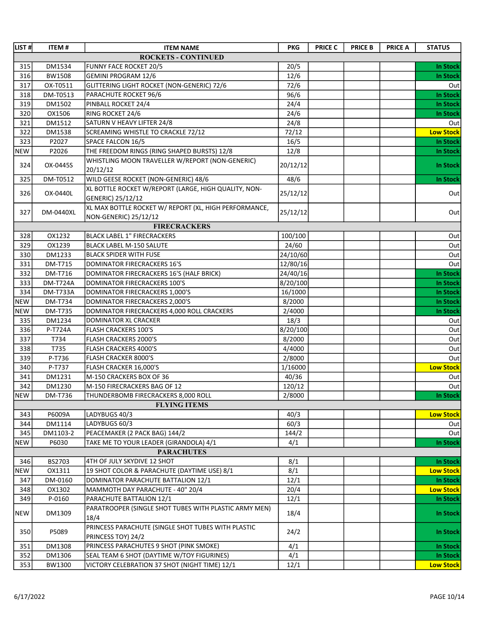| LIST #     | <b>ITEM#</b>    | <b>ITEM NAME</b>                                      | <b>PKG</b> | <b>PRICE C</b> | <b>PRICE B</b> | <b>PRICE A</b> | <b>STATUS</b>    |
|------------|-----------------|-------------------------------------------------------|------------|----------------|----------------|----------------|------------------|
|            |                 | <b>ROCKETS - CONTINUED</b>                            |            |                |                |                |                  |
| 315        | DM1534          | <b>FUNNY FACE ROCKET 20/5</b>                         | 20/5       |                |                |                | <b>In Stock</b>  |
| 316        | BW1508          | <b>GEMINI PROGRAM 12/6</b>                            | 12/6       |                |                |                | In Stock         |
| 317        | OX-T0511        | GLITTERING LIGHT ROCKET (NON-GENERIC) 72/6            | 72/6       |                |                |                | Out              |
| 318        | DM-T0513        | PARACHUTE ROCKET 96/6                                 | 96/6       |                |                |                | <b>In Stock</b>  |
| 319        | DM1502          | PINBALL ROCKET 24/4                                   | 24/4       |                |                |                | In Stock         |
| 320        | OX1506          | RING ROCKET 24/6                                      | 24/6       |                |                |                | In Stock         |
| 321        | DM1512          | SATURN V HEAVY LIFTER 24/8                            | 24/8       |                |                |                | Out              |
| 322        | DM1538          | SCREAMING WHISTLE TO CRACKLE 72/12                    | 72/12      |                |                |                | <b>Low Stock</b> |
| 323        | P2027           | SPACE FALCON 16/5                                     | 16/5       |                |                |                | <b>In Stock</b>  |
| <b>NEW</b> | P2026           | THE FREEDOM RINGS (RING SHAPED BURSTS) 12/8           | 12/8       |                |                |                | In Stock         |
| 324        | OX-0445S        | WHISTLING MOON TRAVELLER W/REPORT (NON-GENERIC)       |            |                |                |                |                  |
|            |                 | 20/12/12                                              | 20/12/12   |                |                |                | In Stock         |
| 325        | DM-T0512        | WILD GEESE ROCKET (NON-GENERIC) 48/6                  | 48/6       |                |                |                | <b>In Stock</b>  |
|            |                 | XL BOTTLE ROCKET W/REPORT (LARGE, HIGH QUALITY, NON-  |            |                |                |                |                  |
| 326        | OX-0440L        | GENERIC) 25/12/12                                     | 25/12/12   |                |                |                | Out              |
|            |                 | XL MAX BOTTLE ROCKET W/ REPORT (XL, HIGH PERFORMANCE, |            |                |                |                |                  |
| 327        | DM-0440XL       | NON-GENERIC) 25/12/12                                 | 25/12/12   |                |                |                | Out              |
|            |                 | <b>FIRECRACKERS</b>                                   |            |                |                |                |                  |
| 328        | OX1232          | BLACK LABEL 1" FIRECRACKERS                           | 100/100    |                |                |                | Out              |
| 329        | OX1239          | <b>BLACK LABEL M-150 SALUTE</b>                       | 24/60      |                |                |                | Out              |
| 330        | <b>DM1233</b>   | <b>BLACK SPIDER WITH FUSE</b>                         | 24/10/60   |                |                |                | Out              |
| 331        | <b>DM-T715</b>  | DOMINATOR FIRECRACKERS 16'S                           | 12/80/16   |                |                |                | Out              |
| 332        | DM-T716         | DOMINATOR FIRECRACKERS 16'S (HALF BRICK)              | 24/40/16   |                |                |                | <b>In Stock</b>  |
| 333        | <b>DM-T724A</b> | DOMINATOR FIRECRACKERS 100'S                          | 8/20/100   |                |                |                | In Stock         |
| 334        | <b>DM-T733A</b> | DOMINATOR FIRECRACKERS 1,000'S                        | 16/1000    |                |                |                | In Stock         |
| <b>NEW</b> | DM-T734         | DOMINATOR FIRECRACKERS 2,000'S                        | 8/2000     |                |                |                | <b>In Stock</b>  |
| <b>NEW</b> | <b>DM-T735</b>  | DOMINATOR FIRECRACKERS 4,000 ROLL CRACKERS            | 2/4000     |                |                |                | <b>In Stock</b>  |
| 335        | DM1234          | DOMINATOR XL CRACKER                                  | 18/3       |                |                |                | Out              |
| 336        | P-T724A         | FLASH CRACKERS 100'S                                  | 8/20/100   |                |                |                | Out              |
| 337        | T734            | <b>FLASH CRACKERS 2000'S</b>                          | 8/2000     |                |                |                | Out              |
| 338        | T735            | FLASH CRACKERS 4000'S                                 | 4/4000     |                |                |                | Out              |
| 339        | P-T736          | FLASH CRACKER 8000'S                                  | 2/8000     |                |                |                | Out              |
| 340        | P-T737          | FLASH CRACKER 16,000'S                                | 1/16000    |                |                |                | <b>Low Stock</b> |
| 341        | DM1231          | M-150 CRACKERS BOX OF 36                              | 40/36      |                |                |                | Out              |
| 342        | DM1230          | M-150 FIRECRACKERS BAG OF 12                          | 120/12     |                |                |                | Out              |
| <b>NEW</b> | DM-T736         | THUNDERBOMB FIRECRACKERS 8,000 ROLL                   | 2/8000     |                |                |                | <b>In Stock</b>  |
|            |                 | <b>FLYING ITEMS</b>                                   |            |                |                |                |                  |
| 343        | P6009A          | LADYBUGS 40/3                                         | 40/3       |                |                |                | <b>Low Stock</b> |
| 344        | DM1114          | LADYBUGS 60/3                                         | 60/3       |                |                |                | Out              |
| 345        | DM1103-2        | PEACEMAKER (2 PACK BAG) 144/2                         | 144/2      |                |                |                | Out              |
| <b>NEW</b> | P6030           | TAKE ME TO YOUR LEADER (GIRANDOLA) 4/1                | 4/1        |                |                |                | In Stock         |
|            |                 | <b>PARACHUTES</b>                                     |            |                |                |                |                  |
| 346        | BS2703          | 4TH OF JULY SKYDIVE 12 SHOT                           | 8/1        |                |                |                | In Stock         |
| <b>NEW</b> | OX1311          | 19 SHOT COLOR & PARACHUTE (DAYTIME USE) 8/1           | 8/1        |                |                |                | <b>Low Stock</b> |
| 347        | DM-0160         | DOMINATOR PARACHUTE BATTALION 12/1                    | 12/1       |                |                |                | <b>In Stock</b>  |
| 348        | OX1302          | MAMMOTH DAY PARACHUTE - 40" 20/4                      | 20/4       |                |                |                | <b>Low Stock</b> |
| 349        | P-0160          | PARACHUTE BATTALION 12/1                              | 12/1       |                |                |                | In Stock         |
|            |                 | PARATROOPER (SINGLE SHOT TUBES WITH PLASTIC ARMY MEN) |            |                |                |                |                  |
| <b>NEW</b> | DM1309          | 18/4                                                  | 18/4       |                |                |                | In Stock         |
|            |                 | PRINCESS PARACHUTE (SINGLE SHOT TUBES WITH PLASTIC    |            |                |                |                |                  |
| 350        | P5089           | PRINCESS TOY) 24/2                                    | 24/2       |                |                |                | In Stock         |
| 351        | DM1308          | PRINCESS PARACHUTES 9 SHOT (PINK SMOKE)               | 4/1        |                |                |                | In Stock         |
| 352        | DM1306          | SEAL TEAM 6 SHOT (DAYTIME W/TOY FIGURINES)            | 4/1        |                |                |                | In Stock         |
| 353        | BW1300          | VICTORY CELEBRATION 37 SHOT (NIGHT TIME) 12/1         | 12/1       |                |                |                | <b>Low Stock</b> |
|            |                 |                                                       |            |                |                |                |                  |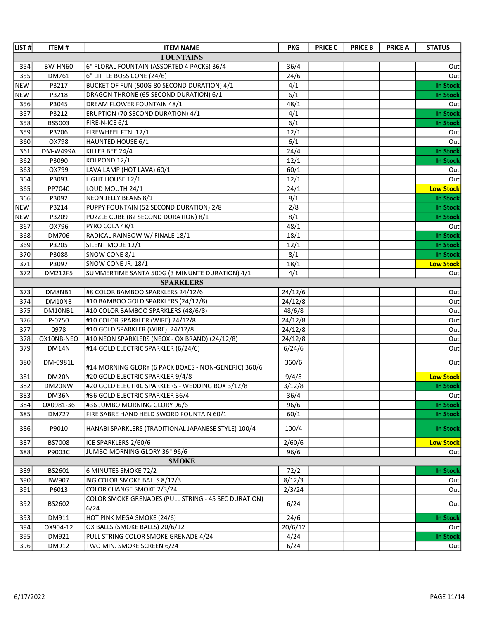| LIST#      | <b>ITEM#</b>    | <b>ITEM NAME</b>                                     | <b>PKG</b> | <b>PRICE C</b> | <b>PRICE B</b> | <b>PRICE A</b> | <b>STATUS</b>    |
|------------|-----------------|------------------------------------------------------|------------|----------------|----------------|----------------|------------------|
|            |                 | <b>FOUNTAINS</b>                                     |            |                |                |                |                  |
| 354        | BW-HN60         | 6" FLORAL FOUNTAIN (ASSORTED 4 PACKS) 36/4           | 36/4       |                |                |                | Out              |
| 355        | DM761           | 6" LITTLE BOSS CONE (24/6)                           | 24/6       |                |                |                | Out              |
| <b>NEW</b> | P3217           | BUCKET OF FUN (500G 80 SECOND DURATION) 4/1          | 4/1        |                |                |                | <b>In Stock</b>  |
| <b>NEW</b> | P3218           | DRAGON THRONE (65 SECOND DURATION) 6/1               | 6/1        |                |                |                | <b>In Stock</b>  |
| 356        | P3045           | DREAM FLOWER FOUNTAIN 48/1                           | 48/1       |                |                |                | Out              |
| 357        | P3212           | ERUPTION (70 SECOND DURATION) 4/1                    | 4/1        |                |                |                | <b>In Stock</b>  |
| 358        | BS5003          | FIRE-N-ICE 6/1                                       | 6/1        |                |                |                | <b>In Stock</b>  |
| 359        | P3206           | FIREWHEEL FTN. 12/1                                  | 12/1       |                |                |                | Out              |
| 360        | OX798           | HAUNTED HOUSE 6/1                                    | 6/1        |                |                |                | Out              |
| 361        | <b>DM-W499A</b> | KILLER BEE 24/4                                      | 24/4       |                |                |                | <b>In Stock</b>  |
| 362        | P3090           | KOI POND 12/1                                        | 12/1       |                |                |                | <b>In Stock</b>  |
| 363        | OX799           | LAVA LAMP (HOT LAVA) 60/1                            | 60/1       |                |                |                | Out              |
| 364        | P3093           | LIGHT HOUSE 12/1                                     | 12/1       |                |                |                | Out              |
| 365        | PP7040          | LOUD MOUTH 24/1                                      | 24/1       |                |                |                | <b>Low Stock</b> |
| 366        | P3092           | NEON JELLY BEANS 8/1                                 | 8/1        |                |                |                | <b>In Stock</b>  |
| <b>NEW</b> | P3214           | PUPPY FOUNTAIN (52 SECOND DURATION) 2/8              | 2/8        |                |                |                | <b>In Stock</b>  |
| <b>NEW</b> | P3209           | PUZZLE CUBE (82 SECOND DURATION) 8/1                 | 8/1        |                |                |                | <b>In Stock</b>  |
| 367        | OX796           | PYRO COLA 48/1                                       | 48/1       |                |                |                | Out              |
| 368        | <b>DM706</b>    | RADICAL RAINBOW W/ FINALE 18/1                       | 18/1       |                |                |                | <b>In Stock</b>  |
| 369        | P3205           | SILENT MODE 12/1                                     | 12/1       |                |                |                | <b>In Stock</b>  |
| 370        | P3088           | SNOW CONE 8/1                                        | 8/1        |                |                |                | <b>In Stock</b>  |
| 371        | P3097           | SNOW CONE JR. 18/1                                   | 18/1       |                |                |                | <b>Low Stock</b> |
| 372        | DM212F5         | SUMMERTIME SANTA 500G (3 MINUNTE DURATION) 4/1       | 4/1        |                |                |                | Out              |
|            |                 | <b>SPARKLERS</b>                                     |            |                |                |                |                  |
| 373        | DM8NB1          | #8 COLOR BAMBOO SPARKLERS 24/12/6                    | 24/12/6    |                |                |                | Out              |
| 374        | DM10NB          | #10 BAMBOO GOLD SPARKLERS (24/12/8)                  | 24/12/8    |                |                |                | Out              |
| 375        | DM10NB1         | #10 COLOR BAMBOO SPARKLERS (48/6/8)                  | 48/6/8     |                |                |                | Out              |
| 376        | P-0750          | #10 COLOR SPARKLER (WIRE) 24/12/8                    | 24/12/8    |                |                |                | Out              |
| 377        | 0978            | #10 GOLD SPARKLER (WIRE) 24/12/8                     | 24/12/8    |                |                |                | Out              |
| 378        | OX10NB-NEO      | #10 NEON SPARKLERS (NEOX - OX BRAND) (24/12/8)       | 24/12/8    |                |                |                | Out              |
| 379        | <b>DM14N</b>    | #14 GOLD ELECTRIC SPARKLER (6/24/6)                  | 6/24/6     |                |                |                | Out              |
|            |                 |                                                      |            |                |                |                |                  |
| 380        | DM-0981L        | #14 MORNING GLORY (6 PACK BOXES - NON-GENERIC) 360/6 | 360/6      |                |                |                | Out              |
| 381        | DM20N           | #20 GOLD ELECTRIC SPARKLER 9/4/8                     | 9/4/8      |                |                |                | <b>Low Stock</b> |
| 382        | DM20NW          | #20 GOLD ELECTRIC SPARKLERS - WEDDING BOX 3/12/8     | 3/12/8     |                |                |                | <b>In Stock</b>  |
| 383        | DM36N           | #36 GOLD ELECTRIC SPARKLER 36/4                      | 36/4       |                |                |                | Out              |
| 384        | OX0981-36       | #36 JUMBO MORNING GLORY 96/6                         | 96/6       |                |                |                | <b>In Stock</b>  |
| 385        | <b>DM727</b>    | FIRE SABRE HAND HELD SWORD FOUNTAIN 60/1             | 60/1       |                |                |                | In Stock         |
|            |                 |                                                      |            |                |                |                |                  |
| 386        | P9010           | HANABI SPARKLERS (TRADITIONAL JAPANESE STYLE) 100/4  | 100/4      |                |                |                | <b>In Stock</b>  |
| 387        | BS7008          | ICE SPARKLERS 2/60/6                                 | 2/60/6     |                |                |                | <b>Low Stock</b> |
| 388        | P9003C          | JUMBO MORNING GLORY 36" 96/6                         | 96/6       |                |                |                | Out              |
|            |                 | <b>SMOKE</b>                                         |            |                |                |                |                  |
| 389        | BS2601          | 6 MINUTES SMOKE 72/2                                 | 72/2       |                |                |                | <b>In Stock</b>  |
| 390        | BW907           | BIG COLOR SMOKE BALLS 8/12/3                         | 8/12/3     |                |                |                | Out              |
| 391        | P6013           | COLOR CHANGE SMOKE 2/3/24                            | 2/3/24     |                |                |                | Out              |
|            |                 | COLOR SMOKE GRENADES (PULL STRING - 45 SEC DURATION) |            |                |                |                |                  |
| 392        | BS2602          | 6/24                                                 | 6/24       |                |                |                | Out              |
| 393        | DM911           | HOT PINK MEGA SMOKE (24/6)                           | 24/6       |                |                |                | <b>In Stock</b>  |
| 394        | OX904-12        | OX BALLS (SMOKE BALLS) 20/6/12                       | 20/6/12    |                |                |                | Out              |
| 395        | DM921           | PULL STRING COLOR SMOKE GRENADE 4/24                 | 4/24       |                |                |                | <b>In Stock</b>  |
| 396        | DM912           | TWO MIN. SMOKE SCREEN 6/24                           | 6/24       |                |                |                | Out              |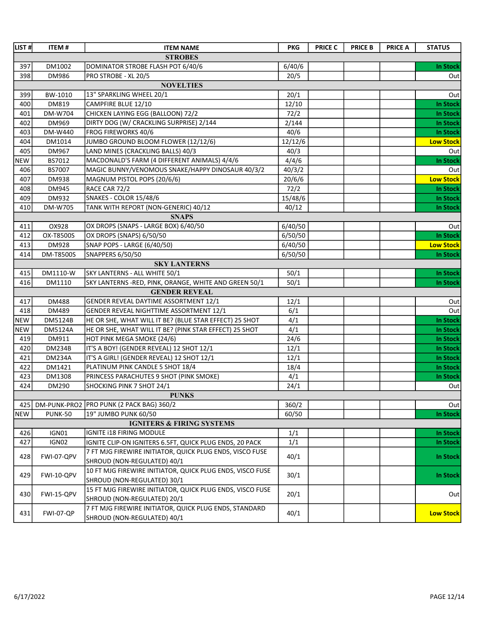| LIST#      | <b>ITEM#</b>     | <b>ITEM NAME</b>                                          | <b>PKG</b> | <b>PRICE C</b> | <b>PRICE B</b> | <b>PRICE A</b> | <b>STATUS</b>    |
|------------|------------------|-----------------------------------------------------------|------------|----------------|----------------|----------------|------------------|
|            |                  | <b>STROBES</b>                                            |            |                |                |                |                  |
| 397        | DM1002           | DOMINATOR STROBE FLASH POT 6/40/6                         | 6/40/6     |                |                |                | <b>In Stock</b>  |
| 398        | DM986            | PRO STROBE - XL 20/5                                      | 20/5       |                |                |                | Out              |
|            |                  | <b>NOVELTIES</b>                                          |            |                |                |                |                  |
| 399        | BW-1010          | 13" SPARKLING WHEEL 20/1                                  | 20/1       |                |                |                | Out              |
| 400        | DM819            | CAMPFIRE BLUE 12/10                                       | 12/10      |                |                |                | <b>In Stock</b>  |
| 401        | DM-W704          | CHICKEN LAYING EGG (BALLOON) 72/2                         | 72/2       |                |                |                | <b>In Stock</b>  |
| 402        | DM969            | DIRTY DOG (W/ CRACKLING SURPRISE) 2/144                   | 2/144      |                |                |                | <b>In Stock</b>  |
| 403        | DM-W440          | FROG FIREWORKS 40/6                                       | 40/6       |                |                |                | <b>In Stock</b>  |
| 404        | DM1014           | JUMBO GROUND BLOOM FLOWER (12/12/6)                       | 12/12/6    |                |                |                | <b>Low Stock</b> |
| 405        | DM967            | LAND MINES (CRACKLING BALLS) 40/3                         | 40/3       |                |                |                | Out              |
| <b>NEW</b> | BS7012           | MACDONALD'S FARM (4 DIFFERENT ANIMALS) 4/4/6              | 4/4/6      |                |                |                | <b>In Stock</b>  |
| 406        | BS7007           | MAGIC BUNNY/VENOMOUS SNAKE/HAPPY DINOSAUR 40/3/2          | 40/3/2     |                |                |                | Out              |
| 407        | DM938            | MAGNUM PISTOL POPS (20/6/6)                               | 20/6/6     |                |                |                | <b>Low Stock</b> |
| 408        | DM945            | RACE CAR 72/2                                             | 72/2       |                |                |                | <b>In Stock</b>  |
| 409        | DM932            | SNAKES - COLOR 15/48/6                                    | 15/48/6    |                |                |                | <b>In Stock</b>  |
| 410        | DM-W705          | TANK WITH REPORT (NON-GENERIC) 40/12                      | 40/12      |                |                |                | <b>In Stock</b>  |
|            |                  | <b>SNAPS</b>                                              |            |                |                |                |                  |
| 411        | OX928            | OX DROPS (SNAPS - LARGE BOX) 6/40/50                      | 6/40/50    |                |                |                | Out              |
| 412        | OX-T8500S        | OX DROPS (SNAPS) 6/50/50                                  | 6/50/50    |                |                |                | <b>In Stock</b>  |
| 413        | DM928            | SNAP POPS - LARGE (6/40/50)                               | 6/40/50    |                |                |                | <b>Low Stock</b> |
| 414        | DM-T8500S        | SNAPPERS 6/50/50                                          | 6/50/50    |                |                |                | <b>In Stock</b>  |
|            |                  | <b>SKY LANTERNS</b>                                       |            |                |                |                |                  |
| 415        | DM1110-W         | SKY LANTERNS - ALL WHITE 50/1                             | 50/1       |                |                |                | <b>In Stock</b>  |
| 416        | DM1110           | SKY LANTERNS -RED, PINK, ORANGE, WHITE AND GREEN 50/1     | 50/1       |                |                |                | <b>In Stock</b>  |
|            |                  | <b>GENDER REVEAL</b>                                      |            |                |                |                |                  |
| 417        | DM488            | GENDER REVEAL DAYTIME ASSORTMENT 12/1                     | 12/1       |                |                |                | Out              |
| 418        | DM489            | GENDER REVEAL NIGHTTIME ASSORTMENT 12/1                   | 6/1        |                |                |                | Out              |
| <b>NEW</b> | DM5124B          | HE OR SHE, WHAT WILL IT BE? (BLUE STAR EFFECT) 25 SHOT    | 4/1        |                |                |                | <b>In Stock</b>  |
| <b>NEW</b> | <b>DM5124A</b>   | HE OR SHE, WHAT WILL IT BE? (PINK STAR EFFECT) 25 SHOT    | 4/1        |                |                |                | <b>In Stock</b>  |
| 419        | DM911            | HOT PINK MEGA SMOKE (24/6)                                | 24/6       |                |                |                | <b>In Stock</b>  |
| 420        | <b>DM234B</b>    | IT'S A BOY! (GENDER REVEAL) 12 SHOT 12/1                  | 12/1       |                |                |                | <b>In Stock</b>  |
| 421        | <b>DM234A</b>    | IT'S A GIRL! (GENDER REVEAL) 12 SHOT 12/1                 | 12/1       |                |                |                | <b>In Stock</b>  |
| 422        | DM1421           | PLATINUM PINK CANDLE 5 SHOT 18/4                          | 18/4       |                |                |                | <b>In Stock</b>  |
| 423        | DM1308           | PRINCESS PARACHUTES 9 SHOT (PINK SMOKE)                   | 4/1        |                |                |                | <b>In Stock</b>  |
| 424        | DM290            | SHOCKING PINK 7 SHOT 24/1                                 | 24/1       |                |                |                | Out              |
|            |                  | <b>PUNKS</b>                                              |            |                |                |                |                  |
| 425        |                  | DM-PUNK-PRO2 PRO PUNK (2 PACK BAG) 360/2                  | 360/2      |                |                |                | Out              |
| <b>NEW</b> | <b>PUNK-50</b>   | 19" JUMBO PUNK 60/50                                      | 60/50      |                |                |                | <b>In Stock</b>  |
|            |                  | <b>IGNITERS &amp; FIRING SYSTEMS</b>                      |            |                |                |                |                  |
| 426        | IGN01            | IGNITE I18 FIRING MODULE                                  | 1/1        |                |                |                | <b>In Stock</b>  |
| 427        | IGN02            | IGNITE CLIP-ON IGNITERS 6.5FT, QUICK PLUG ENDS, 20 PACK   | 1/1        |                |                |                | <b>In Stock</b>  |
| 428        | FWI-07-QPV       | 7 FT MJG FIREWIRE INITIATOR, QUICK PLUG ENDS, VISCO FUSE  | 40/1       |                |                |                | In Stock         |
|            |                  | SHROUD (NON-REGULATED) 40/1                               |            |                |                |                |                  |
| 429        | FWI-10-QPV       | 10 FT MJG FIREWIRE INITIATOR, QUICK PLUG ENDS, VISCO FUSE | 30/1       |                |                |                | In Stock         |
|            |                  | SHROUD (NON-REGULATED) 30/1                               |            |                |                |                |                  |
| 430        | FWI-15-QPV       | 15 FT MJG FIREWIRE INITIATOR, QUICK PLUG ENDS, VISCO FUSE | 20/1       |                |                |                | Out              |
|            |                  | SHROUD (NON-REGULATED) 20/1                               |            |                |                |                |                  |
| 431        | <b>FWI-07-QP</b> | 7 FT MJG FIREWIRE INITIATOR, QUICK PLUG ENDS, STANDARD    | 40/1       |                |                |                | <b>Low Stock</b> |
|            |                  | SHROUD (NON-REGULATED) 40/1                               |            |                |                |                |                  |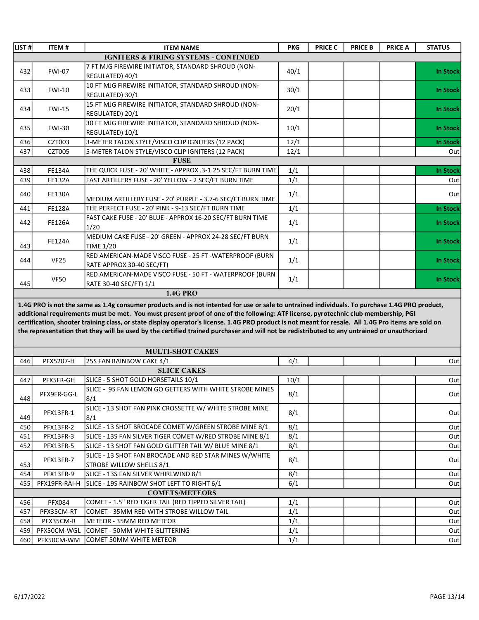| LIST #l | <b>ITEM#</b>  | <b>ITEM NAME</b>                                                                    | <b>PKG</b> | <b>PRICE C</b> | <b>PRICE B</b> | <b>PRICE A</b> | <b>STATUS</b>   |
|---------|---------------|-------------------------------------------------------------------------------------|------------|----------------|----------------|----------------|-----------------|
|         |               | <b>IGNITERS &amp; FIRING SYSTEMS - CONTINUED</b>                                    |            |                |                |                |                 |
| 432     | <b>FWI-07</b> | 7 FT MJG FIREWIRE INITIATOR, STANDARD SHROUD (NON-<br>IREGULATED) 40/1              | 40/1       |                |                |                | <b>In Stock</b> |
| 433     | <b>FWI-10</b> | 10 FT MJG FIREWIRE INITIATOR, STANDARD SHROUD (NON-<br>REGULATED) 30/1              | 30/1       |                |                |                | <b>In Stock</b> |
| 434     | <b>FWI-15</b> | 15 FT MJG FIREWIRE INITIATOR, STANDARD SHROUD (NON-<br>REGULATED) 20/1              | 20/1       |                |                |                | <b>In Stock</b> |
| 435     | <b>FWI-30</b> | 30 FT MJG FIREWIRE INITIATOR, STANDARD SHROUD (NON-<br>REGULATED) 10/1              | 10/1       |                |                |                | <b>In Stock</b> |
| 436     | <b>CZT003</b> | 3-METER TALON STYLE/VISCO CLIP IGNITERS (12 PACK)                                   | 12/1       |                |                |                | <b>In Stock</b> |
| 437     | <b>CZT005</b> | 5-METER TALON STYLE/VISCO CLIP IGNITERS (12 PACK)                                   | 12/1       |                |                |                | Out             |
|         |               | <b>FUSE</b>                                                                         |            |                |                |                |                 |
| 438     | <b>FE134A</b> | THE QUICK FUSE - 20' WHITE - APPROX .3-1.25 SEC/FT BURN TIME                        | 1/1        |                |                |                | <b>In Stock</b> |
| 439     | <b>FE132A</b> | FAST ARTILLERY FUSE - 20' YELLOW - 2 SEC/FT BURN TIME                               | 1/1        |                |                |                | Out             |
| 440     | <b>FE130A</b> | MEDIUM ARTILLERY FUSE - 20' PURPLE - 3.7-6 SEC/FT BURN TIME                         | 1/1        |                |                |                | Outl            |
| 441     | <b>FE128A</b> | THE PERFECT FUSE - 20' PINK - 9-13 SEC/FT BURN TIME                                 | 1/1        |                |                |                | <b>In Stock</b> |
| 442     | <b>FE126A</b> | FAST CAKE FUSE - 20' BLUE - APPROX 16-20 SEC/FT BURN TIME<br>1/20                   | 1/1        |                |                |                | <b>In Stock</b> |
| 443     | <b>FE124A</b> | MEDIUM CAKE FUSE - 20' GREEN - APPROX 24-28 SEC/FT BURN<br>TIME 1/20                | 1/1        |                |                |                | <b>In Stock</b> |
| 444     | <b>VF25</b>   | RED AMERICAN-MADE VISCO FUSE - 25 FT -WATERPROOF (BURN<br>RATE APPROX 30-40 SEC/FT) | 1/1        |                |                |                | <b>In Stock</b> |
| 445     | <b>VF50</b>   | RED AMERICAN-MADE VISCO FUSE - 50 FT - WATERPROOF (BURN<br>RATE 30-40 SEC/FT) 1/1   | 1/1        |                |                |                | <b>In Stock</b> |
|         |               | <b>1.4G PRO</b>                                                                     |            |                |                |                |                 |

1.4G PRO is not the same as 1.4g consumer products and is not intented for use or sale to untrained individuals. To purchase 1.4G PRO product, additional requirements must be met. You must present proof of one of the following: ATF license, pyrotechnic club membership, PGI certification, shooter training class, or state display operator's license. 1.4G PRO product is not meant for resale. All 1.4G Pro items are sold on the representation that they will be used by the certified trained purchaser and will not be redistributed to any untrained or unauthorized

| <b>MULTI-SHOT CAKES</b> |               |                                                          |      |  |      |  |  |  |  |
|-------------------------|---------------|----------------------------------------------------------|------|--|------|--|--|--|--|
| 446                     | PFX5207-H     | 25S FAN RAINBOW CAKE 4/1                                 | 4/1  |  | Out  |  |  |  |  |
| <b>SLICE CAKES</b>      |               |                                                          |      |  |      |  |  |  |  |
| 447                     | PFX5FR-GH     | SLICE - 5 SHOT GOLD HORSETAILS 10/1                      | 10/1 |  | Out  |  |  |  |  |
| 448                     | PFX9FR-GG-L   | SLICE - 9S FAN LEMON GO GETTERS WITH WHITE STROBE MINES  | 8/1  |  | Out  |  |  |  |  |
|                         |               | 8/1                                                      |      |  |      |  |  |  |  |
|                         | PFX13FR-1     | SLICE - 13 SHOT FAN PINK CROSSETTE W/ WHITE STROBE MINE  | 8/1  |  | Outl |  |  |  |  |
| 449                     |               | 8/1                                                      |      |  |      |  |  |  |  |
| 450                     | PFX13FR-2     | SLICE - 13 SHOT BROCADE COMET W/GREEN STROBE MINE 8/1    | 8/1  |  | Out  |  |  |  |  |
| 451                     | PFX13FR-3     | SLICE - 13S FAN SILVER TIGER COMET W/RED STROBE MINE 8/1 | 8/1  |  | Out  |  |  |  |  |
| 452                     | PFX13FR-5     | SLICE - 13 SHOT FAN GOLD GLITTER TAIL W/ BLUE MINE 8/1   | 8/1  |  | Out  |  |  |  |  |
|                         | PFX13FR-7     | SLICE - 13 SHOT FAN BROCADE AND RED STAR MINES W/WHITE   | 8/1  |  | Outl |  |  |  |  |
| 453                     |               | STROBE WILLOW SHELLS 8/1                                 |      |  |      |  |  |  |  |
| 454                     | PFX13FR-9     | SLICE - 13S FAN SILVER WHIRLWIND 8/1                     | 8/1  |  | Out  |  |  |  |  |
| 455                     | PFX19FR-RAI-H | SLICE - 19S RAINBOW SHOT LEFT TO RIGHT 6/1               | 6/1  |  | Out  |  |  |  |  |
| <b>COMETS/METEORS</b>   |               |                                                          |      |  |      |  |  |  |  |
| 456                     | <b>PFX084</b> | COMET - 1.5" RED TIGER TAIL (RED TIPPED SILVER TAIL)     | 1/1  |  | Out  |  |  |  |  |
| 457                     | PFX35CM-RT    | COMET - 35MM RED WITH STROBE WILLOW TAIL                 | 1/1  |  | Out  |  |  |  |  |
| 458                     | PFX35CM-R     | METEOR - 35MM RED METEOR                                 | 1/1  |  | Out  |  |  |  |  |
| 459                     |               | PEX50CM-WGL COMET - 50MM WHITE GLITTERING                | 1/1  |  | Out  |  |  |  |  |
| 460                     |               | PFX50CM-WM COMET 50MM WHITE METEOR                       | 1/1  |  | Outl |  |  |  |  |